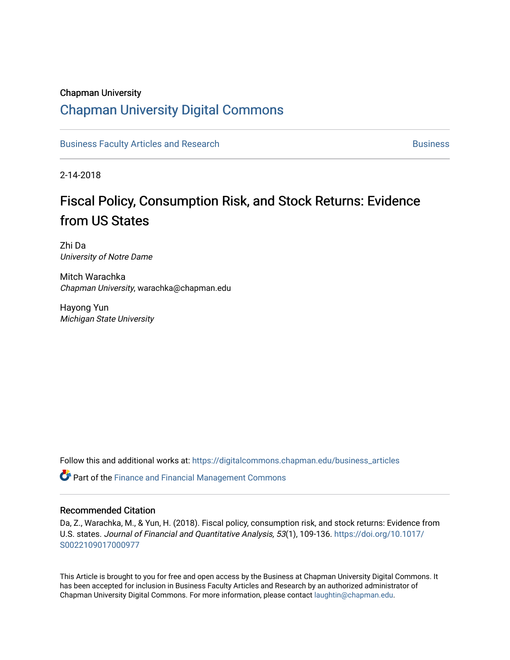### Chapman University

# [Chapman University Digital Commons](https://digitalcommons.chapman.edu/)

[Business Faculty Articles and Research](https://digitalcommons.chapman.edu/business_articles) [Business](https://digitalcommons.chapman.edu/business) **Business** Business

2-14-2018

# Fiscal Policy, Consumption Risk, and Stock Returns: Evidence from US States

Zhi Da University of Notre Dame

Mitch Warachka Chapman University, warachka@chapman.edu

Hayong Yun Michigan State University

Follow this and additional works at: [https://digitalcommons.chapman.edu/business\\_articles](https://digitalcommons.chapman.edu/business_articles?utm_source=digitalcommons.chapman.edu%2Fbusiness_articles%2F111&utm_medium=PDF&utm_campaign=PDFCoverPages) 

**P** Part of the Finance and Financial Management Commons

#### Recommended Citation

Da, Z., Warachka, M., & Yun, H. (2018). Fiscal policy, consumption risk, and stock returns: Evidence from U.S. states. Journal of Financial and Quantitative Analysis, 53(1), 109-136. [https://doi.org/10.1017/](https://doi.org/10.1017/S0022109017000977) [S0022109017000977](https://doi.org/10.1017/S0022109017000977) 

This Article is brought to you for free and open access by the Business at Chapman University Digital Commons. It has been accepted for inclusion in Business Faculty Articles and Research by an authorized administrator of Chapman University Digital Commons. For more information, please contact [laughtin@chapman.edu](mailto:laughtin@chapman.edu).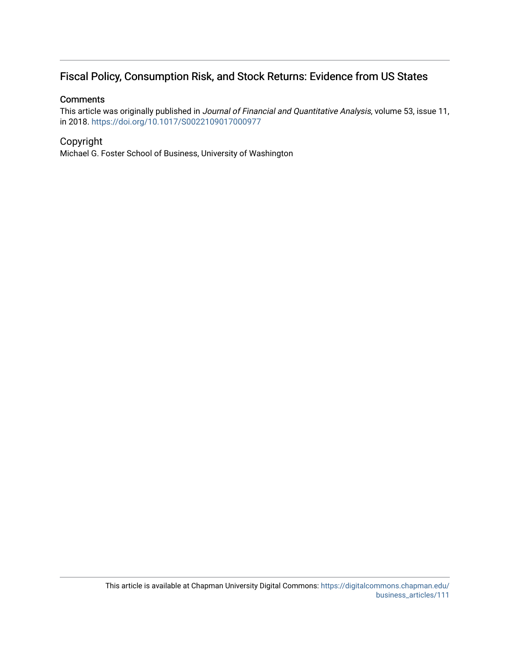## Fiscal Policy, Consumption Risk, and Stock Returns: Evidence from US States

### **Comments**

This article was originally published in Journal of Financial and Quantitative Analysis, volume 53, issue 11, in 2018. <https://doi.org/10.1017/S0022109017000977>

### Copyright

Michael G. Foster School of Business, University of Washington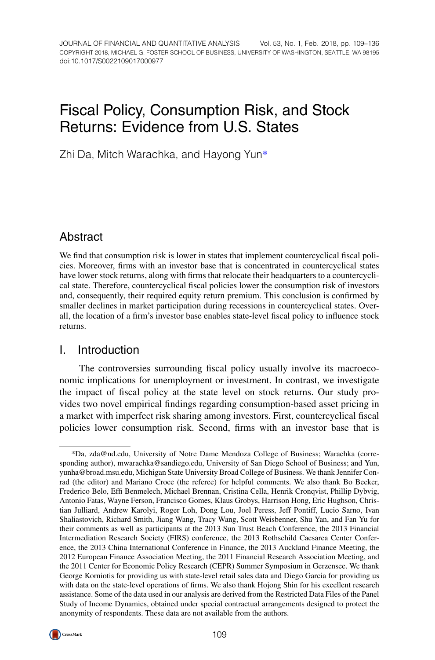# Fiscal Policy, Consumption Risk, and Stock Returns: Evidence from U.S. States

Zhi Da, Mitch Warachka, and Hayong Yun[\\*](#page-2-0)

### Abstract

We find that consumption risk is lower in states that implement countercyclical fiscal policies. Moreover, firms with an investor base that is concentrated in countercyclical states have lower stock returns, along with firms that relocate their headquarters to a countercyclical state. Therefore, countercyclical fiscal policies lower the consumption risk of investors and, consequently, their required equity return premium. This conclusion is confirmed by smaller declines in market participation during recessions in countercyclical states. Overall, the location of a firm's investor base enables state-level fiscal policy to influence stock returns.

### I. Introduction

The controversies surrounding fiscal policy usually involve its macroeconomic implications for unemployment or investment. In contrast, we investigate the impact of fiscal policy at the state level on stock returns. Our study provides two novel empirical findings regarding consumption-based asset pricing in a market with imperfect risk sharing among investors. First, countercyclical fiscal policies lower consumption risk. Second, firms with an investor base that is

<span id="page-2-0"></span><sup>\*</sup>Da, [zda@nd.edu,](mailto:zda@nd.edu) University of Notre Dame Mendoza College of Business; Warachka (corresponding author), [mwarachka@sandiego.edu,](mailto:mwarachka@sandiego.edu) University of San Diego School of Business; and Yun, [yunha@broad.msu.edu,](mailto:yunha@broad.msu.edu) Michigan State University Broad College of Business. We thank Jennifer Conrad (the editor) and Mariano Croce (the referee) for helpful comments. We also thank Bo Becker, Frederico Belo, Effi Benmelech, Michael Brennan, Cristina Cella, Henrik Cronqvist, Phillip Dybvig, Antonio Fatas, Wayne Ferson, Francisco Gomes, Klaus Grobys, Harrison Hong, Eric Hughson, Christian Julliard, Andrew Karolyi, Roger Loh, Dong Lou, Joel Peress, Jeff Pontiff, Lucio Sarno, Ivan Shaliastovich, Richard Smith, Jiang Wang, Tracy Wang, Scott Weisbenner, Shu Yan, and Fan Yu for their comments as well as participants at the 2013 Sun Trust Beach Conference, the 2013 Financial Intermediation Research Society (FIRS) conference, the 2013 Rothschild Caesarea Center Conference, the 2013 China International Conference in Finance, the 2013 Auckland Finance Meeting, the 2012 European Finance Association Meeting, the 2011 Financial Research Association Meeting, and the 2011 Center for Economic Policy Research (CEPR) Summer Symposium in Gerzensee. We thank George Korniotis for providing us with state-level retail sales data and Diego Garcia for providing us with data on the state-level operations of firms. We also thank Hojong Shin for his excellent research assistance. Some of the data used in our analysis are derived from the Restricted Data Files of the Panel Study of Income Dynamics, obtained under special contractual arrangements designed to protect the anonymity of respondents. These data are not available from the authors.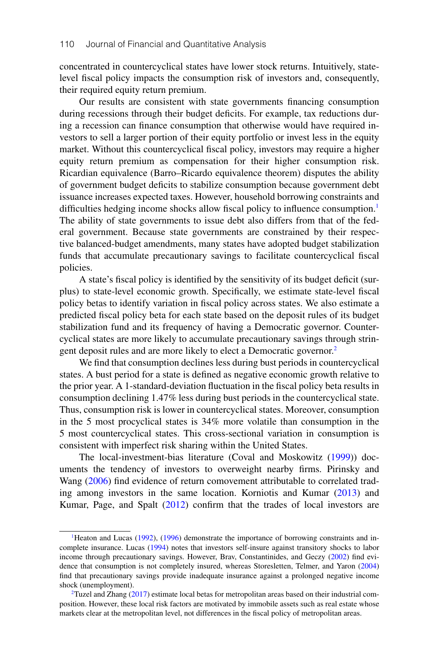concentrated in countercyclical states have lower stock returns. Intuitively, statelevel fiscal policy impacts the consumption risk of investors and, consequently, their required equity return premium.

Our results are consistent with state governments financing consumption during recessions through their budget deficits. For example, tax reductions during a recession can finance consumption that otherwise would have required investors to sell a larger portion of their equity portfolio or invest less in the equity market. Without this countercyclical fiscal policy, investors may require a higher equity return premium as compensation for their higher consumption risk. Ricardian equivalence (Barro–Ricardo equivalence theorem) disputes the ability of government budget deficits to stabilize consumption because government debt issuance increases expected taxes. However, household borrowing constraints and difficulties hedging income shocks allow fiscal policy to influence consumption.<sup>[1](#page-3-0)</sup> The ability of state governments to issue debt also differs from that of the federal government. Because state governments are constrained by their respective balanced-budget amendments, many states have adopted budget stabilization funds that accumulate precautionary savings to facilitate countercyclical fiscal policies.

<span id="page-3-2"></span>A state's fiscal policy is identified by the sensitivity of its budget deficit (surplus) to state-level economic growth. Specifically, we estimate state-level fiscal policy betas to identify variation in fiscal policy across states. We also estimate a predicted fiscal policy beta for each state based on the deposit rules of its budget stabilization fund and its frequency of having a Democratic governor. Countercyclical states are more likely to accumulate precautionary savings through strin-gent deposit rules and are more likely to elect a Democratic governor.<sup>[2](#page-3-1)</sup>

<span id="page-3-3"></span>We find that consumption declines less during bust periods in countercyclical states. A bust period for a state is defined as negative economic growth relative to the prior year. A 1-standard-deviation fluctuation in the fiscal policy beta results in consumption declining 1.47% less during bust periods in the countercyclical state. Thus, consumption risk is lower in countercyclical states. Moreover, consumption in the 5 most procyclical states is 34% more volatile than consumption in the 5 most countercyclical states. This cross-sectional variation in consumption is consistent with imperfect risk sharing within the United States.

The local-investment-bias literature (Coval and Moskowitz [\(1999\)](#page-28-0)) documents the tendency of investors to overweight nearby firms. Pirinsky and Wang [\(2006\)](#page-29-0) find evidence of return comovement attributable to correlated trading among investors in the same location. Korniotis and Kumar [\(2013\)](#page-29-1) and Kumar, Page, and Spalt [\(2012\)](#page-29-2) confirm that the trades of local investors are

<span id="page-3-0"></span><sup>&</sup>lt;sup>[1](#page-3-2)</sup>Heaton and Lucas [\(1992\)](#page-28-1), [\(1996\)](#page-28-2) demonstrate the importance of borrowing constraints and incomplete insurance. Lucas [\(1994\)](#page-29-3) notes that investors self-insure against transitory shocks to labor income through precautionary savings. However, Brav, Constantinides, and Geczy [\(2002\)](#page-28-3) find evidence that consumption is not completely insured, whereas Storesletten, Telmer, and Yaron [\(2004\)](#page-29-4) find that precautionary savings provide inadequate insurance against a prolonged negative income shock (unemployment).

<span id="page-3-1"></span><sup>&</sup>lt;sup>[2](#page-3-3)</sup>Tuzel and Zhang  $(2017)$  estimate local betas for metropolitan areas based on their industrial composition. However, these local risk factors are motivated by immobile assets such as real estate whose markets clear at the metropolitan level, not differences in the fiscal policy of metropolitan areas.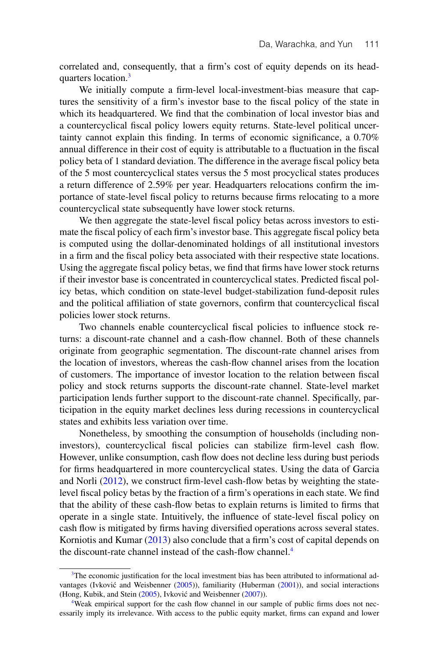<span id="page-4-2"></span>correlated and, consequently, that a firm's cost of equity depends on its headquarters location.[3](#page-4-0)

We initially compute a firm-level local-investment-bias measure that captures the sensitivity of a firm's investor base to the fiscal policy of the state in which its headquartered. We find that the combination of local investor bias and a countercyclical fiscal policy lowers equity returns. State-level political uncertainty cannot explain this finding. In terms of economic significance, a 0.70% annual difference in their cost of equity is attributable to a fluctuation in the fiscal policy beta of 1 standard deviation. The difference in the average fiscal policy beta of the 5 most countercyclical states versus the 5 most procyclical states produces a return difference of 2.59% per year. Headquarters relocations confirm the importance of state-level fiscal policy to returns because firms relocating to a more countercyclical state subsequently have lower stock returns.

We then aggregate the state-level fiscal policy betas across investors to estimate the fiscal policy of each firm's investor base. This aggregate fiscal policy beta is computed using the dollar-denominated holdings of all institutional investors in a firm and the fiscal policy beta associated with their respective state locations. Using the aggregate fiscal policy betas, we find that firms have lower stock returns if their investor base is concentrated in countercyclical states. Predicted fiscal policy betas, which condition on state-level budget-stabilization fund-deposit rules and the political affiliation of state governors, confirm that countercyclical fiscal policies lower stock returns.

Two channels enable countercyclical fiscal policies to influence stock returns: a discount-rate channel and a cash-flow channel. Both of these channels originate from geographic segmentation. The discount-rate channel arises from the location of investors, whereas the cash-flow channel arises from the location of customers. The importance of investor location to the relation between fiscal policy and stock returns supports the discount-rate channel. State-level market participation lends further support to the discount-rate channel. Specifically, participation in the equity market declines less during recessions in countercyclical states and exhibits less variation over time.

Nonetheless, by smoothing the consumption of households (including noninvestors), countercyclical fiscal policies can stabilize firm-level cash flow. However, unlike consumption, cash flow does not decline less during bust periods for firms headquartered in more countercyclical states. Using the data of Garcia and Norli [\(2012\)](#page-28-4), we construct firm-level cash-flow betas by weighting the statelevel fiscal policy betas by the fraction of a firm's operations in each state. We find that the ability of these cash-flow betas to explain returns is limited to firms that operate in a single state. Intuitively, the influence of state-level fiscal policy on cash flow is mitigated by firms having diversified operations across several states. Korniotis and Kumar [\(2013\)](#page-29-1) also conclude that a firm's cost of capital depends on the discount-rate channel instead of the cash-flow channel.<sup>[4](#page-4-1)</sup>

<span id="page-4-3"></span><span id="page-4-0"></span><sup>&</sup>lt;sup>[3](#page-4-2)</sup>The economic justification for the local investment bias has been attributed to informational advantages (Ivković and Weisbenner  $(2005)$  $(2005)$ ), familiarity (Huberman  $(2001)$ ), and social interactions (Hong, Kubik, and Stein [\(2005\)](#page-28-6), Ivković and Weisbenner ([2007\)](#page-29-7)).

<span id="page-4-1"></span><sup>&</sup>lt;sup>[4](#page-4-3)</sup>Weak empirical support for the cash flow channel in our sample of public firms does not necessarily imply its irrelevance. With access to the public equity market, firms can expand and lower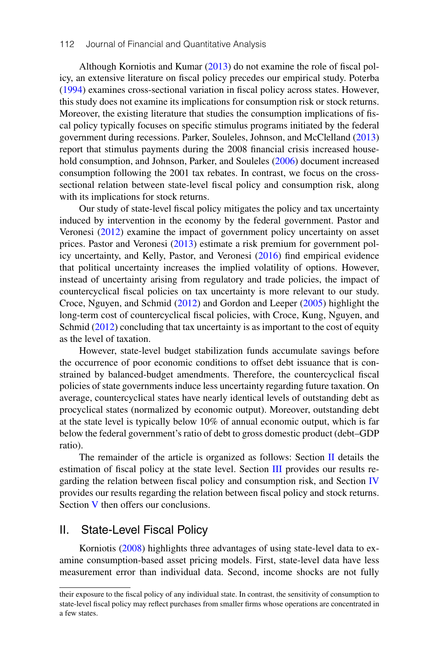Although Korniotis and Kumar [\(2013\)](#page-29-1) do not examine the role of fiscal policy, an extensive literature on fiscal policy precedes our empirical study. Poterba [\(1994\)](#page-29-8) examines cross-sectional variation in fiscal policy across states. However, this study does not examine its implications for consumption risk or stock returns. Moreover, the existing literature that studies the consumption implications of fiscal policy typically focuses on specific stimulus programs initiated by the federal government during recessions. Parker, Souleles, Johnson, and McClelland [\(2013\)](#page-29-9) report that stimulus payments during the 2008 financial crisis increased household consumption, and Johnson, Parker, and Souleles [\(2006\)](#page-29-10) document increased consumption following the 2001 tax rebates. In contrast, we focus on the crosssectional relation between state-level fiscal policy and consumption risk, along with its implications for stock returns.

Our study of state-level fiscal policy mitigates the policy and tax uncertainty induced by intervention in the economy by the federal government. Pastor and Veronesi [\(2012\)](#page-29-11) examine the impact of government policy uncertainty on asset prices. Pastor and Veronesi [\(2013\)](#page-29-12) estimate a risk premium for government policy uncertainty, and Kelly, Pastor, and Veronesi [\(2016\)](#page-29-13) find empirical evidence that political uncertainty increases the implied volatility of options. However, instead of uncertainty arising from regulatory and trade policies, the impact of countercyclical fiscal policies on tax uncertainty is more relevant to our study. Croce, Nguyen, and Schmid [\(2012\)](#page-28-7) and Gordon and Leeper [\(2005\)](#page-28-8) highlight the long-term cost of countercyclical fiscal policies, with Croce, Kung, Nguyen, and Schmid [\(2012\)](#page-28-9) concluding that tax uncertainty is as important to the cost of equity as the level of taxation.

However, state-level budget stabilization funds accumulate savings before the occurrence of poor economic conditions to offset debt issuance that is constrained by balanced-budget amendments. Therefore, the countercyclical fiscal policies of state governments induce less uncertainty regarding future taxation. On average, countercyclical states have nearly identical levels of outstanding debt as procyclical states (normalized by economic output). Moreover, outstanding debt at the state level is typically below 10% of annual economic output, which is far below the federal government's ratio of debt to gross domestic product (debt–GDP ratio).

The remainder of the article is organized as follows: Section  $II$  details the estimation of fiscal policy at the state level. Section [III](#page-12-0) provides our results regarding the relation between fiscal policy and consumption risk, and Section [IV](#page-14-0) provides our results regarding the relation between fiscal policy and stock returns. Section [V](#page-28-10) then offers our conclusions.

### <span id="page-5-0"></span>II. State-Level Fiscal Policy

Korniotis [\(2008\)](#page-29-14) highlights three advantages of using state-level data to examine consumption-based asset pricing models. First, state-level data have less measurement error than individual data. Second, income shocks are not fully

their exposure to the fiscal policy of any individual state. In contrast, the sensitivity of consumption to state-level fiscal policy may reflect purchases from smaller firms whose operations are concentrated in a few states.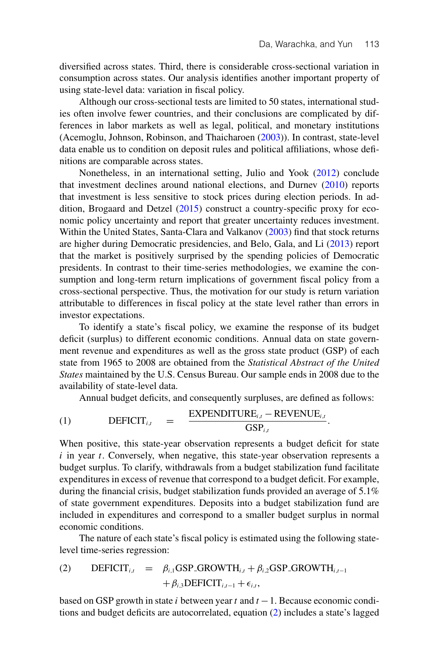diversified across states. Third, there is considerable cross-sectional variation in consumption across states. Our analysis identifies another important property of using state-level data: variation in fiscal policy.

Although our cross-sectional tests are limited to 50 states, international studies often involve fewer countries, and their conclusions are complicated by differences in labor markets as well as legal, political, and monetary institutions (Acemoglu, Johnson, Robinson, and Thaicharoen [\(2003\)](#page-28-11)). In contrast, state-level data enable us to condition on deposit rules and political affiliations, whose definitions are comparable across states.

Nonetheless, in an international setting, Julio and Yook [\(2012\)](#page-29-15) conclude that investment declines around national elections, and Durnev [\(2010\)](#page-28-12) reports that investment is less sensitive to stock prices during election periods. In addition, Brogaard and Detzel [\(2015\)](#page-28-13) construct a country-specific proxy for economic policy uncertainty and report that greater uncertainty reduces investment. Within the United States, Santa-Clara and Valkanov [\(2003\)](#page-29-16) find that stock returns are higher during Democratic presidencies, and Belo, Gala, and Li [\(2013\)](#page-28-14) report that the market is positively surprised by the spending policies of Democratic presidents. In contrast to their time-series methodologies, we examine the consumption and long-term return implications of government fiscal policy from a cross-sectional perspective. Thus, the motivation for our study is return variation attributable to differences in fiscal policy at the state level rather than errors in investor expectations.

To identify a state's fiscal policy, we examine the response of its budget deficit (surplus) to different economic conditions. Annual data on state government revenue and expenditures as well as the gross state product (GSP) of each state from 1965 to 2008 are obtained from the *Statistical Abstract of the United States* maintained by the U.S. Census Bureau. Our sample ends in 2008 due to the availability of state-level data.

<span id="page-6-1"></span>Annual budget deficits, and consequently surpluses, are defined as follows:

(1) 
$$
\text{DEFICIT}_{i,t} = \frac{\text{EXPENDITURE}_{i,t} - \text{REVENUE}_{i,t}}{\text{GSP}_{i,t}}.
$$

When positive, this state-year observation represents a budget deficit for state *i* in year *t*. Conversely, when negative, this state-year observation represents a budget surplus. To clarify, withdrawals from a budget stabilization fund facilitate expenditures in excess of revenue that correspond to a budget deficit. For example, during the financial crisis, budget stabilization funds provided an average of 5.1% of state government expenditures. Deposits into a budget stabilization fund are included in expenditures and correspond to a smaller budget surplus in normal economic conditions.

<span id="page-6-0"></span>The nature of each state's fiscal policy is estimated using the following statelevel time-series regression:

(2) 
$$
\begin{aligned}\n\text{DEFICIT}_{i,t} &= \beta_{i,1} \text{GSP\_GROWTH}_{i,t} + \beta_{i,2} \text{GSP\_GROWTH}_{i,t-1} \\
&\quad + \beta_{i,3} \text{DEFICIT}_{i,t-1} + \epsilon_{i,t},\n\end{aligned}
$$

based on GSP growth in state *i* between year *t* and *t* −1. Because economic conditions and budget deficits are autocorrelated, equation [\(2\)](#page-6-0) includes a state's lagged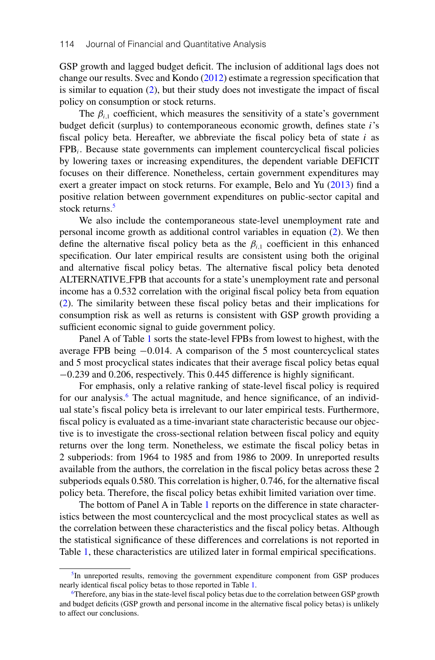GSP growth and lagged budget deficit. The inclusion of additional lags does not change our results. Svec and Kondo [\(2012\)](#page-29-17) estimate a regression specification that is similar to equation [\(2\)](#page-6-0), but their study does not investigate the impact of fiscal policy on consumption or stock returns.

The  $\beta_{i,1}$  coefficient, which measures the sensitivity of a state's government budget deficit (surplus) to contemporaneous economic growth, defines state *i*'s fiscal policy beta. Hereafter, we abbreviate the fiscal policy beta of state *i* as FPB*<sup>i</sup>* . Because state governments can implement countercyclical fiscal policies by lowering taxes or increasing expenditures, the dependent variable DEFICIT focuses on their difference. Nonetheless, certain government expenditures may exert a greater impact on stock returns. For example, Belo and Yu [\(2013\)](#page-28-15) find a positive relation between government expenditures on public-sector capital and stock returns.<sup>[5](#page-7-0)</sup>

<span id="page-7-2"></span>We also include the contemporaneous state-level unemployment rate and personal income growth as additional control variables in equation [\(2\)](#page-6-0). We then define the alternative fiscal policy beta as the  $\beta_{i,1}$  coefficient in this enhanced specification. Our later empirical results are consistent using both the original and alternative fiscal policy betas. The alternative fiscal policy beta denoted ALTERNATIVE FPB that accounts for a state's unemployment rate and personal income has a 0.532 correlation with the original fiscal policy beta from equation [\(2\)](#page-6-0). The similarity between these fiscal policy betas and their implications for consumption risk as well as returns is consistent with GSP growth providing a sufficient economic signal to guide government policy.

Panel A of Table [1](#page-8-0) sorts the state-level FPBs from lowest to highest, with the average FPB being −0.014. A comparison of the 5 most countercyclical states and 5 most procyclical states indicates that their average fiscal policy betas equal −0.239 and 0.206, respectively. This 0.445 difference is highly significant.

<span id="page-7-3"></span>For emphasis, only a relative ranking of state-level fiscal policy is required for our analysis.<sup>[6](#page-7-1)</sup> The actual magnitude, and hence significance, of an individual state's fiscal policy beta is irrelevant to our later empirical tests. Furthermore, fiscal policy is evaluated as a time-invariant state characteristic because our objective is to investigate the cross-sectional relation between fiscal policy and equity returns over the long term. Nonetheless, we estimate the fiscal policy betas in 2 subperiods: from 1964 to 1985 and from 1986 to 2009. In unreported results available from the authors, the correlation in the fiscal policy betas across these 2 subperiods equals 0.580. This correlation is higher, 0.746, for the alternative fiscal policy beta. Therefore, the fiscal policy betas exhibit limited variation over time.

The bottom of Panel A in Table [1](#page-8-0) reports on the difference in state characteristics between the most countercyclical and the most procyclical states as well as the correlation between these characteristics and the fiscal policy betas. Although the statistical significance of these differences and correlations is not reported in Table [1,](#page-8-0) these characteristics are utilized later in formal empirical specifications.

<span id="page-7-0"></span><sup>&</sup>lt;sup>[5](#page-7-2)</sup>In unreported results, removing the government expenditure component from GSP produces nearly identical fiscal policy betas to those reported in Table [1.](#page-8-0)

<span id="page-7-1"></span>[<sup>6</sup>](#page-7-3)Therefore, any bias in the state-level fiscal policy betas due to the correlation between GSP growth and budget deficits (GSP growth and personal income in the alternative fiscal policy betas) is unlikely to affect our conclusions.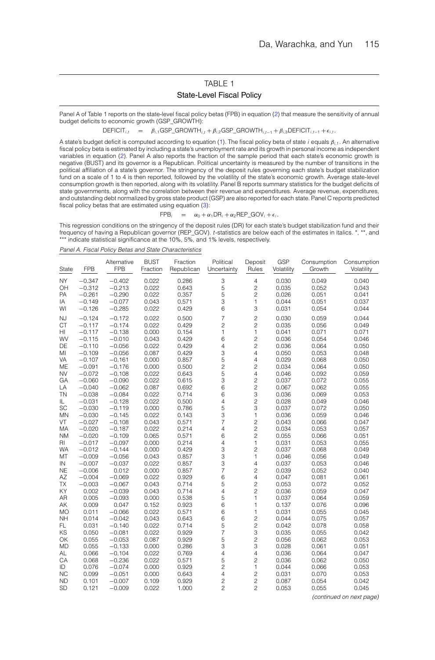#### TABLE 1 State-Level Fiscal Policy

Panel A of Table 1 reports on the state-level fiscal policy betas (FPB) in equation [\(2\)](#page-6-0) that measure the sensitivity of annual budget deficits to economic growth (GSP\_GROWTH):

 $DEFICIT_{i,t} = \beta_{i,1}GSP_GROWTH_{i,t} + \beta_{i,2}GSP_GROWTH_{i,t-1} + \beta_{i,3}DEFICIT_{i,t-1} + \epsilon_{i,t}$ .

A state's budget deficit is computed according to equation [\(1\)](#page-6-1). The fiscal policy beta of state i equals  $\beta_{i,1}$ . An alternative fiscal policy beta is estimated by including a state's unemployment rate and its growth in personal income as independent variables in equation [\(2\)](#page-6-0). Panel A also reports the fraction of the sample period that each state's economic growth is negative (BUST) and its governor is a Republican. Political uncertainty is measured by the number of transitions in the political affiliation of a state's governor. The stringency of the deposit rules governing each state's budget stabilization fund on a scale of 1 to 4 is then reported, followed by the volatility of the state's economic growth. Average state-level consumption growth is then reported, along with its volatility. Panel B reports summary statistics for the budget deficits of state governments, along with the correlation between their revenue and expenditures. Average revenue, expenditures, and outstanding debt normalized by gross state product (GSP) are also reported for each state. Panel C reports predicted fiscal policy betas that are estimated using equation [\(3\)](#page-11-0):

$$
\mathsf{FPB}_i = \alpha_0 + \alpha_1 \mathsf{DR}_i + \alpha_2 \mathsf{REF\_GOV}_i + \epsilon_i.
$$

<span id="page-8-0"></span>This regression conditions on the stringency of the deposit rules (DR) for each state's budget stabilization fund and their frequency of having a Republican governor (REP\_GOV). *t-*statistics are below each of the estimates in italics. \*, \*\*, and<br>\*\*\* indicate statistical significance at the 10%, 5%, and 1% levels, respectively.

Panel A. Fiscal Policy Betas and State Characteristics

| State     | <b>FPB</b> | Alternative<br><b>FPB</b> | <b>BUST</b><br>Fraction | Fraction<br>Republican | Political<br>Uncertainty | Deposit<br>Rules | GSP<br>Volatility | Consumption<br>Growth | Consumption<br>Volatility |
|-----------|------------|---------------------------|-------------------------|------------------------|--------------------------|------------------|-------------------|-----------------------|---------------------------|
| ΝY        | $-0.347$   | $-0.402$                  | 0.022                   | 0.286                  | 3                        | 4                | 0.030             | 0.049                 | 0.040                     |
| OН        | $-0.312$   | $-0.213$                  | 0.022                   | 0.643                  | 5                        | $\overline{c}$   | 0.035             | 0.052                 | 0.043                     |
| PA        | $-0.261$   | $-0.290$                  | 0.022                   | 0.357                  | 5                        | $\overline{c}$   | 0.026             | 0.051                 | 0.041                     |
| ΙA        | $-0.149$   | $-0.077$                  | 0.043                   | 0.571                  | 3                        | 1                | 0.044             | 0.051                 | 0.037                     |
| WI        | $-0.126$   | $-0.285$                  | 0.022                   | 0.429                  | 6                        | 3                | 0.031             | 0.054                 | 0.044                     |
| NJ        | $-0.124$   | $-0.172$                  | 0.022                   | 0.500                  | $\overline{7}$           | $\overline{c}$   | 0.030             | 0.059                 | 0.044                     |
| <b>CT</b> | $-0.117$   | $-0.174$                  | 0.022                   | 0.429                  | $\overline{c}$           | $\overline{c}$   | 0.035             | 0.056                 | 0.049                     |
| HI        | $-0.117$   | $-0.138$                  | 0.000                   | 0.154                  | 1                        | $\mathbf{1}$     | 0.041             | 0.071                 | 0.071                     |
| WV        | $-0.115$   | $-0.010$                  | 0.043                   | 0.429                  | 6                        | $\overline{c}$   | 0.036             | 0.054                 | 0.046                     |
| DE        | $-0.110$   | $-0.056$                  | 0.022                   | 0.429                  | $\overline{4}$           | $\overline{c}$   | 0.036             | 0.064                 | 0.050                     |
| MI        | $-0.109$   | $-0.056$                  | 0.087                   | 0.429                  | 3                        | 4                | 0.050             | 0.053                 | 0.048                     |
| VA        | $-0.107$   | $-0.161$                  | 0.000                   | 0.857                  | 5                        | 4                | 0.029             | 0.068                 | 0.050                     |
| ME        | $-0.091$   | $-0.176$                  | 0.000                   | 0.500                  | $\overline{c}$           | 2                | 0.034             | 0.064                 | 0.050                     |
| NV        | $-0.072$   | $-0.108$                  | 0.022                   | 0.643                  | 5                        | 4                | 0.046             | 0.092                 | 0.059                     |
| GA        | $-0.060$   | $-0.090$                  | 0.022                   | 0.615                  | 3                        | $\overline{c}$   | 0.037             | 0.072                 | 0.055                     |
| LA        | $-0.040$   | $-0.062$                  | 0.087                   | 0.692                  | 6                        | $\overline{c}$   | 0.067             | 0.062                 | 0.055                     |
| ΤN        | $-0.038$   | $-0.084$                  | 0.022                   | 0.714                  | 6                        | 3                | 0.036             | 0.069                 | 0.053                     |
| IL.       | $-0.031$   | $-0.128$                  | 0.022                   | 0.500                  | $\overline{4}$           | $\overline{c}$   | 0.028             | 0.049                 | 0.046                     |
| SC        | $-0.030$   | $-0.119$                  | 0.000                   | 0.786                  | 5                        | 3                | 0.037             | 0.072                 | 0.050                     |
| MN        | $-0.030$   | $-0.145$                  | 0.022                   | 0.143                  | 3                        | $\mathbf{1}$     | 0.036             | 0.059                 | 0.046                     |
| VT        | $-0.027$   | $-0.108$                  | 0.043                   | 0.571                  | 7                        | $\overline{c}$   | 0.043             | 0.066                 | 0.047                     |
| MA        | $-0.020$   | $-0.187$                  | 0.022                   | 0.214                  | 4                        | $\overline{c}$   | 0.034             | 0.053                 | 0.057                     |
| <b>NM</b> | $-0.020$   | $-0.109$                  | 0.065                   | 0.571                  | 6                        | $\overline{c}$   | 0.055             | 0.066                 | 0.051                     |
| RI.       | $-0.017$   | $-0.097$                  | 0.000                   | 0.214                  | 4                        | $\mathbf{1}$     | 0.031             | 0.053                 | 0.055                     |
| <b>WA</b> | $-0.012$   | $-0.144$                  | 0.000                   | 0.429                  | 3                        | $\overline{c}$   | 0.037             | 0.068                 | 0.049                     |
| MT        | $-0.009$   | $-0.056$                  | 0.043                   | 0.857                  | 3                        | 1                | 0.046             | 0.056                 | 0.049                     |
| IN        | $-0.007$   | $-0.037$                  | 0.022                   | 0.857                  | 3                        | 4                | 0.037             | 0.053                 | 0.046                     |
| <b>NE</b> | $-0.006$   | 0.012                     | 0.000                   | 0.857                  | $\overline{7}$           | $\overline{c}$   | 0.039             | 0.052                 | 0.040                     |
| AZ        | $-0.004$   | $-0.069$                  | 0.022                   | 0.929                  | 6                        | 4                | 0.047             | 0.081                 | 0.061                     |
| <b>TX</b> | $-0.003$   | $-0.067$                  | 0.043                   | 0.714                  | 5                        | $\overline{c}$   | 0.053             | 0.072                 | 0.052                     |
| KY        | 0.002      | $-0.039$                  | 0.043                   | 0.714                  | $\overline{4}$           | $\overline{c}$   | 0.036             | 0.059                 | 0.047                     |
| AR        | 0.005      | $-0.093$                  | 0.000                   | 0.538                  | 5                        | 1                | 0.037             | 0.064                 | 0.059                     |
| АK        | 0.009      | 0.047                     | 0.152                   | 0.923                  | 6                        | 1                | 0.137             | 0.076                 | 0.096                     |
| МO        | 0.011      | $-0.066$                  | 0.022                   | 0.571                  | 6                        | 1                | 0.031             | 0.055                 | 0.045                     |
| <b>NH</b> | 0.014      | $-0.042$                  | 0.043                   | 0.643                  | 6                        | $\overline{c}$   | 0.044             | 0.075                 | 0.057                     |
| FL        | 0.031      | $-0.140$                  | 0.022                   | 0.714                  | 5                        | $\overline{c}$   | 0.042             | 0.078                 | 0.058                     |
| KS        | 0.050      | $-0.081$                  | 0.022                   | 0.929                  | $\overline{7}$           | 3                | 0.035             | 0.055                 | 0.042                     |
| ОК        | 0.055      | $-0.053$                  | 0.087                   | 0.929                  | 5                        | $\overline{c}$   | 0.056             | 0.062                 | 0.053                     |
| MD        | 0.055      | $-0.133$                  | 0.000                   | 0.286                  | 3                        | 3                | 0.028             | 0.061                 | 0.051                     |
| AL        | 0.066      | $-0.104$                  | 0.022                   | 0.769                  | 4                        | 4                | 0.036             | 0.064                 | 0.047                     |
| СA        | 0.068      | $-0.236$                  | 0.022                   | 0.571                  | 5                        | $\overline{c}$   | 0.036             | 0.062                 | 0.050                     |
| ID        | 0.076      | $-0.074$                  | 0.000                   | 0.929                  | $\overline{c}$           | $\mathbf{1}$     | 0.044             | 0.066                 | 0.053                     |
| <b>NC</b> | 0.099      | $-0.051$                  | 0.000                   | 0.643                  | 4                        | $\overline{c}$   | 0.031             | 0.070                 | 0.053                     |
| ΝD        | 0.101      | $-0.007$                  | 0.109                   | 0.929                  | $\overline{c}$           | $\overline{c}$   | 0.087             | 0.054                 | 0.042                     |
| SD        | 0.121      | $-0.009$                  | 0.022                   | 1.000                  | $\overline{c}$           | $\overline{c}$   | 0.053             | 0.055                 | 0.045                     |

(continued on next page)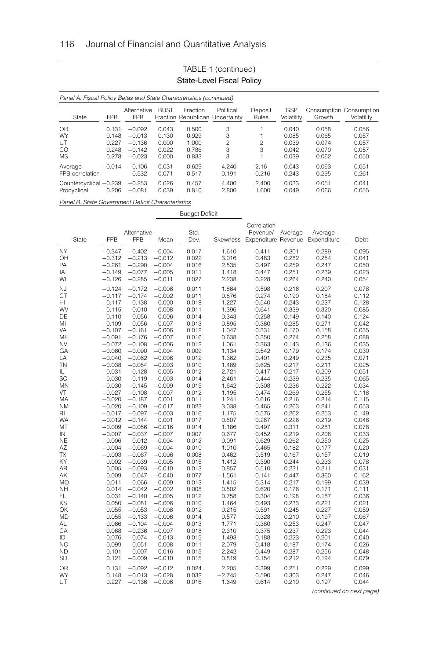| Panel A. Fiscal Policy Betas and State Characteristics (continued) |            |                           |                |                                             |                   |                  |                   |                                   |                |
|--------------------------------------------------------------------|------------|---------------------------|----------------|---------------------------------------------|-------------------|------------------|-------------------|-----------------------------------|----------------|
| State                                                              | <b>FPB</b> | Alternative<br><b>FPB</b> | <b>BUST</b>    | Fraction<br>Fraction Republican Uncertainty | Political         | Deposit<br>Rules | GSP<br>Volatility | Consumption Consumption<br>Growth | Volatility     |
| <b>OR</b>                                                          | 0.131      | $-0.092$                  | 0.043          | 0.500                                       | 3                 |                  | 0.040             | 0.058                             | 0.056          |
| <b>WY</b>                                                          | 0.148      | $-0.013$                  | 0.130          | 0.929                                       | 3                 |                  | 0.085             | 0.065                             | 0.057          |
| UT                                                                 | 0.227      | $-0.136$                  | 0.000          | 1.000                                       | 2                 | 2                | 0.039             | 0.074                             | 0.057          |
| CO                                                                 | 0.248      | $-0.142$                  | 0.022          | 0.786                                       | 3                 | 3                | 0.042             | 0.070                             | 0.057          |
| <b>MS</b>                                                          | 0.278      | $-0.023$                  | 0.000          | 0.833                                       | 3                 |                  | 0.039             | 0.062                             | 0.050          |
| Average<br>FPB correlation                                         | $-0.014$   | $-0.106$<br>0.532         | 0.031<br>0.071 | 0.629<br>0.517                              | 4.240<br>$-0.191$ | 2.16<br>$-0.216$ | 0.043<br>0.243    | 0.063<br>0.295                    | 0.051<br>0.261 |
| Countercyclical -0.239<br>Procyclical                              | 0.206      | $-0.253$<br>$-0.081$      | 0.026<br>0.039 | 0.457<br>0.810                              | 4.400<br>2.800    | 2.400<br>1.600   | 0.033<br>0.049    | 0.051<br>0.066                    | 0.041<br>0.055 |

#### TABLE 1 (continued) State-Level Fiscal Policy

Panel B. State Government Deficit Characteristics

Budget Deficit

|                 |                      | Alternative          |                      | Std.           |                | Correlation<br>Revenue/ | Average        | Average        |                |
|-----------------|----------------------|----------------------|----------------------|----------------|----------------|-------------------------|----------------|----------------|----------------|
| State           | <b>FPB</b>           | <b>FPB</b>           | Mean                 | Dev.           | Skewness       | Expenditure Revenue     |                | Expenditure    | Debt           |
| <b>NY</b>       | $-0.347$             | $-0.402$             | $-0.004$             | 0.017          | 1.610          | 0.411                   | 0.301          | 0.289          | 0.095          |
| OH              | $-0.312$             | $-0.213$             | $-0.012$             | 0.022          | 3.016          | 0.483                   | 0.282          | 0.254          | 0.041          |
| PA              | $-0.261$             | $-0.290$             | $-0.004$             | 0.016          | 2.535          | 0.497                   | 0.259          | 0.247          | 0.050          |
| ΙA              | $-0.149$             | $-0.077$             | $-0.005$             | 0.011          | 1.418          | 0.447                   | 0.251          | 0.239          | 0.023          |
| WI              | $-0.126$             | $-0.285$             | $-0.011$             | 0.027          | 2.238          | 0.228                   | 0.264          | 0.240          | 0.054          |
| NJ              | $-0.124$             | $-0.172$             | $-0.006$             | 0.011          | 1.864          | 0.598                   | 0.216          | 0.207          | 0.078          |
| CT              | $-0.117$             | $-0.174$             | $-0.002$             | 0.011          | 0.876          | 0.274                   | 0.190          | 0.184          | 0.112          |
| HI.             | $-0.117$             | $-0.138$             | 0.000                | 0.018          | 1.227          | 0.540                   | 0.243          | 0.237          | 0.128          |
| WV              | $-0.115$             | $-0.010$             | $-0.008$             | 0.011          | $-1.396$       | 0.641                   | 0.339          | 0.320          | 0.085          |
| DE              | $-0.110$             | $-0.056$             | $-0.006$             | 0.014          | 0.343          | 0.258                   | 0.149          | 0.140          | 0.124          |
| ΜI<br>VA        | $-0.109$<br>$-0.107$ | $-0.056$<br>$-0.161$ | $-0.007$<br>$-0.006$ | 0.013<br>0.012 | 0.895<br>1.047 | 0.380<br>0.331          | 0.285<br>0.170 | 0.271<br>0.158 | 0.042<br>0.035 |
| ME              | $-0.091$             | $-0.176$             | $-0.007$             | 0.016          | 0.638          | 0.350                   | 0.274          | 0.258          | 0.088          |
| <b>NV</b>       | $-0.072$             | $-0.108$             | $-0.006$             | 0.012          | 1.061          | 0.363                   | 0.143          | 0.136          | 0.035          |
| GА              | $-0.060$             | $-0.090$             | $-0.004$             | 0.009          | 1.134          | 0.542                   | 0.179          | 0.174          | 0.030          |
| LA              | $-0.040$             | $-0.062$             | $-0.006$             | 0.012          | 1.362          | 0.401                   | 0.249          | 0.235          | 0.071          |
| TN              | $-0.038$             | $-0.084$             | $-0.003$             | 0.010          | 1.489          | 0.625                   | 0.217          | 0.211          | 0.025          |
| IL.             | $-0.031$             | $-0.128$             | $-0.005$             | 0.012          | 2.721          | 0.417                   | 0.217          | 0.209          | 0.051          |
| SC              | $-0.030$             | $-0.119$             | $-0.003$             | 0.014          | 2.461          | 0.444                   | 0.239          | 0.235          | 0.065          |
| <b>MN</b>       | $-0.030$             | $-0.145$             | $-0.009$             | 0.015          | 1.642          | 0.308                   | 0.236          | 0.222          | 0.034          |
| VT              | $-0.027$             | $-0.108$             | $-0.007$             | 0.012          | 1.195          | 0.474                   | 0.269          | 0.255          | 0.118          |
| ΜA              | $-0.020$             | $-0.187$             | 0.001                | 0.011          | 1.241          | 0.616                   | 0.216          | 0.214          | 0.115          |
| <b>NM</b>       | $-0.020$             | $-0.109$             | $-0.017$             | 0.023          | 3.038          | 0.465                   | 0.263          | 0.241          | 0.053          |
| RI              | $-0.017$             | $-0.097$             | $-0.003$             | 0.016          | 1.175          | 0.575                   | 0.262          | 0.253          | 0.149          |
| WA              | $-0.012$             | $-0.144$             | 0.001                | 0.017          | 0.807          | 0.287                   | 0.226          | 0.219          | 0.048          |
| MT              | $-0.009$             | $-0.056$             | $-0.016$             | 0.014          | 1.186          | 0.497                   | 0.311          | 0.281          | 0.078          |
| IN              | $-0.007$             | $-0.037$             | $-0.007$             | 0.007          | 0.677          | 0.452                   | 0.219          | 0.208          | 0.033          |
| NΕ              | $-0.006$             | 0.012                | $-0.004$             | 0.012          | 0.091          | 0.629                   | 0.262          | 0.250          | 0.025          |
| ΑZ<br><b>TX</b> | $-0.004$             | $-0.069$             | $-0.004$             | 0.010          | 1.010          | 0.465                   | 0.182          | 0.177          | 0.020          |
| ΚY              | $-0.003$<br>0.002    | $-0.067$<br>$-0.039$ | $-0.006$<br>$-0.005$ | 0.008<br>0.015 | 0.462<br>1.412 | 0.519<br>0.390          | 0.167<br>0.244 | 0.157<br>0.233 | 0.019<br>0.078 |
| ΑR              | 0.005                | $-0.093$             | $-0.010$             | 0.013          | 0.857          | 0.510                   | 0.231          | 0.211          | 0.031          |
| AK              | 0.009                | 0.047                | $-0.040$             | 0.077          | $-1.561$       | 0.141                   | 0.447          | 0.360          | 0.162          |
| <b>MO</b>       | 0.011                | $-0.066$             | $-0.009$             | 0.013          | 1.415          | 0.314                   | 0.217          | 0.199          | 0.039          |
| NΗ              | 0.014                | $-0.042$             | $-0.002$             | 0.008          | 0.502          | 0.620                   | 0.176          | 0.171          | 0.111          |
| FL              | 0.031                | $-0.140$             | $-0.005$             | 0.012          | 0.758          | 0.304                   | 0.198          | 0.187          | 0.036          |
| KS              | 0.050                | $-0.081$             | $-0.006$             | 0.010          | 1.464          | 0.493                   | 0.233          | 0.221          | 0.021          |
| ОК              | 0.055                | $-0.053$             | $-0.008$             | 0.012          | 0.215          | 0.591                   | 0.245          | 0.227          | 0.059          |
| МD              | 0.055                | $-0.133$             | $-0.006$             | 0.014          | 0.577          | 0.328                   | 0.210          | 0.197          | 0.067          |
| AL              | 0.066                | $-0.104$             | $-0.004$             | 0.013          | 1.771          | 0.380                   | 0.253          | 0.247          | 0.047          |
| CA              | 0.068                | $-0.236$             | $-0.007$             | 0.018          | 2.310          | 0.375                   | 0.237          | 0.223          | 0.044          |
| ID              | 0.076                | $-0.074$             | $-0.013$             | 0.015          | 1.493          | 0.188                   | 0.223          | 0.201          | 0.040          |
| NC              | 0.099                | $-0.051$             | $-0.008$             | 0.011          | 2.079          | 0.418                   | 0.187          | 0.174          | 0.026          |
| <b>ND</b>       | 0.101                | $-0.007$             | $-0.016$             | 0.015          | $-2.242$       | 0.449                   | 0.287          | 0.256          | 0.048          |
| SD              | 0.121                | $-0.009$             | $-0.010$             | 0.015          | 0.819          | 0.154                   | 0.212          | 0.194          | 0.079          |
| OR              | 0.131                | $-0.092$             | $-0.012$             | 0.024          | 2.205          | 0.399                   | 0.251          | 0.229          | 0.099          |
| WY              | 0.148                | $-0.013$             | $-0.028$             | 0.032          | $-2.745$       | 0.590                   | 0.303          | 0.247          | 0.046          |
| UT              | 0.227                | $-0.136$             | $-0.006$             | 0.016          | 1.649          | 0.614                   | 0.210          | 0.197          | 0.044          |

(continued on next page)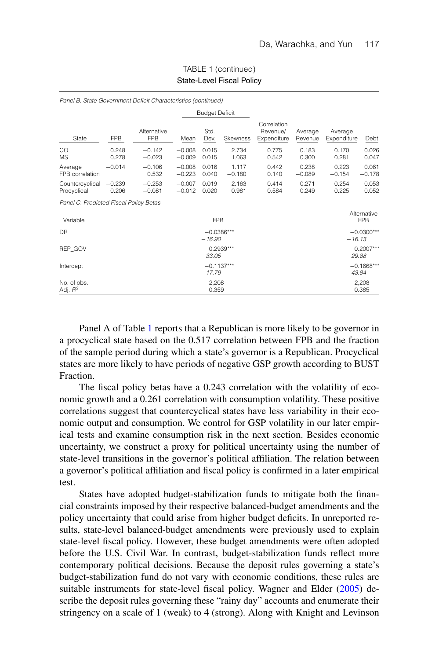| Panel B. State Government Deficit Characteristics (continued) |                   |                           |                      |                          |                   |                                        |                    |                        |                           |
|---------------------------------------------------------------|-------------------|---------------------------|----------------------|--------------------------|-------------------|----------------------------------------|--------------------|------------------------|---------------------------|
|                                                               |                   |                           |                      | <b>Budget Deficit</b>    |                   |                                        |                    |                        |                           |
| State                                                         | <b>FPB</b>        | Alternative<br><b>FPB</b> | Mean                 | Std.<br>Dev.             | Skewness          | Correlation<br>Revenue/<br>Expenditure | Average<br>Revenue | Average<br>Expenditure | Debt                      |
| CO<br>MS                                                      | 0.248<br>0.278    | $-0.142$<br>$-0.023$      | $-0.008$<br>$-0.009$ | 0.015<br>0.015           | 2.734<br>1.063    | 0.775<br>0.542                         | 0.183<br>0.300     | 0.170<br>0.281         | 0.026<br>0.047            |
| Average<br>FPB correlation                                    | $-0.014$          | $-0.106$<br>0.532         | $-0.008$<br>$-0.223$ | 0.016<br>0.040           | 1.117<br>$-0.180$ | 0.442<br>0.140                         | 0.238<br>$-0.089$  | 0.223<br>$-0.154$      | 0.061<br>$-0.178$         |
| Countercyclical<br>Procyclical                                | $-0.239$<br>0.206 | $-0.253$<br>$-0.081$      | $-0.007$<br>$-0.012$ | 0.019<br>0.020           | 2.163<br>0.981    | 0.414<br>0.584                         | 0.271<br>0.249     | 0.254<br>0.225         | 0.053<br>0.052            |
| Panel C. Predicted Fiscal Policy Betas                        |                   |                           |                      |                          |                   |                                        |                    |                        |                           |
| Variable                                                      |                   |                           |                      | <b>FPB</b>               |                   |                                        |                    |                        | Alternative<br><b>FPB</b> |
| DR                                                            |                   |                           |                      | $-0.0386***$<br>$-16.90$ |                   |                                        |                    | $-16.13$               | $-0.0300***$              |
| <b>REP GOV</b>                                                |                   |                           |                      | 33.05                    | $0.2939***$       |                                        |                    |                        | $0.2007***$<br>29.88      |
| Intercept                                                     |                   |                           |                      | $-0.1137***$<br>$-17.79$ |                   |                                        |                    | $-43.84$               | $-0.1668***$              |
| No. of obs.<br>Adj. $R^2$                                     |                   |                           |                      | 2,208<br>0.359           |                   |                                        |                    |                        | 2,208<br>0.385            |

#### TABLE 1 (continued) State-Level Fiscal Policy

Panel A of Table [1](#page-8-0) reports that a Republican is more likely to be governor in a procyclical state based on the 0.517 correlation between FPB and the fraction of the sample period during which a state's governor is a Republican. Procyclical states are more likely to have periods of negative GSP growth according to BUST Fraction.

The fiscal policy betas have a 0.243 correlation with the volatility of economic growth and a 0.261 correlation with consumption volatility. These positive correlations suggest that countercyclical states have less variability in their economic output and consumption. We control for GSP volatility in our later empirical tests and examine consumption risk in the next section. Besides economic uncertainty, we construct a proxy for political uncertainty using the number of state-level transitions in the governor's political affiliation. The relation between a governor's political affiliation and fiscal policy is confirmed in a later empirical test.

States have adopted budget-stabilization funds to mitigate both the financial constraints imposed by their respective balanced-budget amendments and the policy uncertainty that could arise from higher budget deficits. In unreported results, state-level balanced-budget amendments were previously used to explain state-level fiscal policy. However, these budget amendments were often adopted before the U.S. Civil War. In contrast, budget-stabilization funds reflect more contemporary political decisions. Because the deposit rules governing a state's budget-stabilization fund do not vary with economic conditions, these rules are suitable instruments for state-level fiscal policy. Wagner and Elder [\(2005\)](#page-29-18) describe the deposit rules governing these "rainy day" accounts and enumerate their stringency on a scale of 1 (weak) to 4 (strong). Along with Knight and Levinson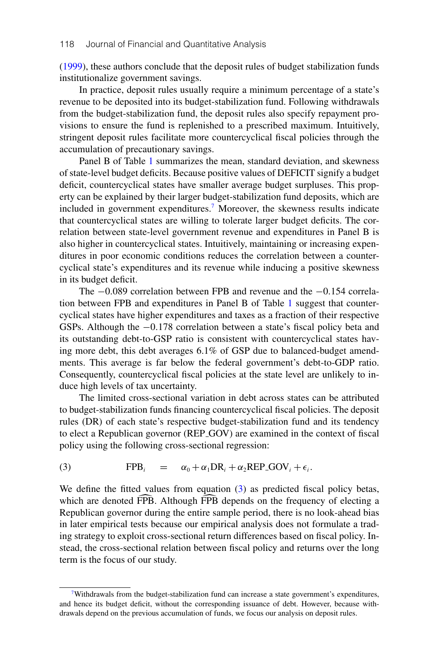[\(1999\)](#page-29-19), these authors conclude that the deposit rules of budget stabilization funds institutionalize government savings.

In practice, deposit rules usually require a minimum percentage of a state's revenue to be deposited into its budget-stabilization fund. Following withdrawals from the budget-stabilization fund, the deposit rules also specify repayment provisions to ensure the fund is replenished to a prescribed maximum. Intuitively, stringent deposit rules facilitate more countercyclical fiscal policies through the accumulation of precautionary savings.

<span id="page-11-2"></span>Panel B of Table [1](#page-8-0) summarizes the mean, standard deviation, and skewness of state-level budget deficits. Because positive values of DEFICIT signify a budget deficit, countercyclical states have smaller average budget surpluses. This property can be explained by their larger budget-stabilization fund deposits, which are included in government expenditures.[7](#page-11-1) Moreover, the skewness results indicate that countercyclical states are willing to tolerate larger budget deficits. The correlation between state-level government revenue and expenditures in Panel B is also higher in countercyclical states. Intuitively, maintaining or increasing expenditures in poor economic conditions reduces the correlation between a countercyclical state's expenditures and its revenue while inducing a positive skewness in its budget deficit.

The −0.089 correlation between FPB and revenue and the −0.154 correlation between FPB and expenditures in Panel B of Table [1](#page-8-0) suggest that countercyclical states have higher expenditures and taxes as a fraction of their respective GSPs. Although the −0.178 correlation between a state's fiscal policy beta and its outstanding debt-to-GSP ratio is consistent with countercyclical states having more debt, this debt averages 6.1% of GSP due to balanced-budget amendments. This average is far below the federal government's debt-to-GDP ratio. Consequently, countercyclical fiscal policies at the state level are unlikely to induce high levels of tax uncertainty.

The limited cross-sectional variation in debt across states can be attributed to budget-stabilization funds financing countercyclical fiscal policies. The deposit rules (DR) of each state's respective budget-stabilization fund and its tendency to elect a Republican governor (REP GOV) are examined in the context of fiscal policy using the following cross-sectional regression:

<span id="page-11-0"></span>(3) 
$$
FPB_i = \alpha_0 + \alpha_1 DR_i + \alpha_2 REP\_{GOV_i} + \epsilon_i.
$$

We define the fitted values from equation [\(3\)](#page-11-0) as predicted fiscal policy betas, which are denoted  $\widehat{FPB}$ . Although  $\widehat{FPB}$  depends on the frequency of electing a Republican governor during the entire sample period, there is no look-ahead bias in later empirical tests because our empirical analysis does not formulate a trading strategy to exploit cross-sectional return differences based on fiscal policy. Instead, the cross-sectional relation between fiscal policy and returns over the long term is the focus of our study.

<span id="page-11-1"></span>[<sup>7</sup>](#page-11-2)Withdrawals from the budget-stabilization fund can increase a state government's expenditures, and hence its budget deficit, without the corresponding issuance of debt. However, because withdrawals depend on the previous accumulation of funds, we focus our analysis on deposit rules.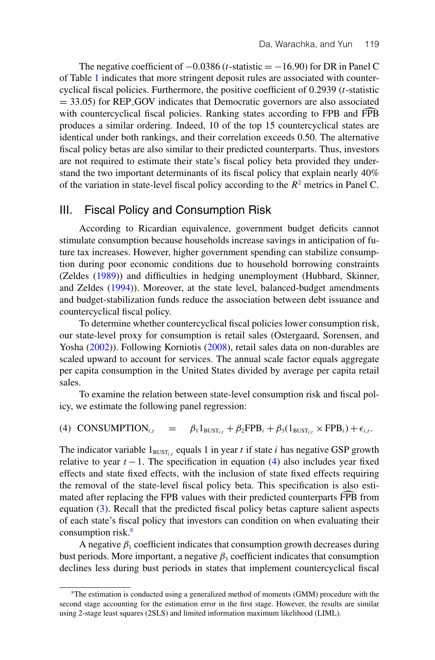The negative coefficient of  $-0.0386$  (*t*-statistic =  $-16.90$ ) for DR in Panel C of Table [1](#page-8-0) indicates that more stringent deposit rules are associated with countercyclical fiscal policies. Furthermore, the positive coefficient of 0.2939 (*t*-statistic = 33.05) for REP GOV indicates that Democratic governors are also associated with countercyclical fiscal policies. Ranking states according to FPB and FPB produces a similar ordering. Indeed, 10 of the top 15 countercyclical states are identical under both rankings, and their correlation exceeds 0.50. The alternative fiscal policy betas are also similar to their predicted counterparts. Thus, investors are not required to estimate their state's fiscal policy beta provided they understand the two important determinants of its fiscal policy that explain nearly 40% of the variation in state-level fiscal policy according to the *R* <sup>2</sup> metrics in Panel C.

### <span id="page-12-0"></span>III. Fiscal Policy and Consumption Risk

According to Ricardian equivalence, government budget deficits cannot stimulate consumption because households increase savings in anticipation of future tax increases. However, higher government spending can stabilize consumption during poor economic conditions due to household borrowing constraints (Zeldes [\(1989\)](#page-29-20)) and difficulties in hedging unemployment (Hubbard, Skinner, and Zeldes [\(1994\)](#page-28-16)). Moreover, at the state level, balanced-budget amendments and budget-stabilization funds reduce the association between debt issuance and countercyclical fiscal policy.

To determine whether countercyclical fiscal policies lower consumption risk, our state-level proxy for consumption is retail sales (Ostergaard, Sorensen, and Yosha [\(2002\)](#page-29-21)). Following Korniotis [\(2008\)](#page-29-14), retail sales data on non-durables are scaled upward to account for services. The annual scale factor equals aggregate per capita consumption in the United States divided by average per capita retail sales.

<span id="page-12-1"></span>To examine the relation between state-level consumption risk and fiscal policy, we estimate the following panel regression:

(4) CONSUMPTION<sub>i,t</sub> = 
$$
\beta_1 1_{\text{BUST}_{i,t}} + \beta_2 \text{FPB}_i + \beta_3 (1_{\text{BUST}_{i,t}} \times \text{FPB}_i) + \epsilon_{i,t}
$$
.

The indicator variable  $1_{\text{BUST}_{i,t}}$  equals 1 in year *t* if state *i* has negative GSP growth relative to year  $t - 1$ . The specification in equation [\(4\)](#page-12-1) also includes year fixed effects and state fixed effects, with the inclusion of state fixed effects requiring the removal of the state-level fiscal policy beta. This specification is also estimated after replacing the FPB values with their predicted counterparts FPB from equation [\(3\)](#page-11-0). Recall that the predicted fiscal policy betas capture salient aspects of each state's fiscal policy that investors can condition on when evaluating their consumption risk.<sup>[8](#page-12-2)</sup>

<span id="page-12-3"></span>A negative  $\beta_1$  coefficient indicates that consumption growth decreases during bust periods. More important, a negative  $\beta_3$  coefficient indicates that consumption declines less during bust periods in states that implement countercyclical fiscal

<span id="page-12-2"></span>[<sup>8</sup>](#page-12-3)The estimation is conducted using a generalized method of moments (GMM) procedure with the second stage accounting for the estimation error in the first stage. However, the results are similar using 2-stage least squares (2SLS) and limited information maximum likelihood (LIML).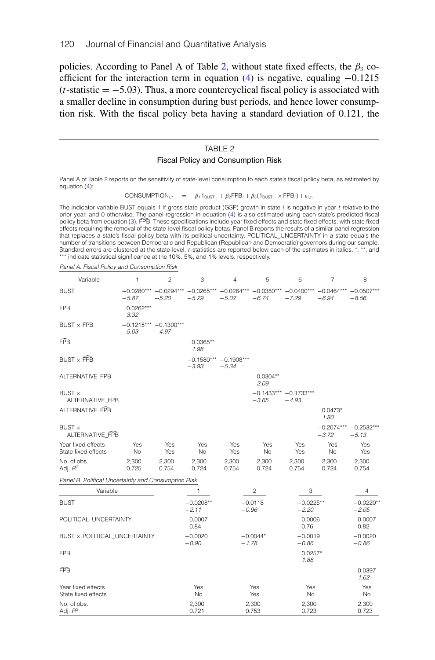policies. According to Panel A of Table [2,](#page-13-0) without state fixed effects, the  $\beta_3$  co-efficient for the interaction term in equation [\(4\)](#page-12-1) is negative, equaling  $-0.1215$  $(t$ -statistic  $=$  -5.03). Thus, a more countercyclical fiscal policy is associated with a smaller decline in consumption during bust periods, and hence lower consumption risk. With the fiscal policy beta having a standard deviation of 0.121, the

#### TABLE 2 Fiscal Policy and Consumption Risk

Panel A of Table 2 reports on the sensitivity of state-level consumption to each state's fiscal policy beta, as estimated by equation [\(4\)](#page-12-1):

CONSUMPTION<sub>i,t</sub> =  $\beta_1 1_{\text{BUST}_{i,t}} + \beta_2 \text{FPB}_i + \beta_3 (1_{\text{BUST}_{i,t}} \times \text{FPB}_i) + \epsilon_{i,t}$ .

The indicator variable BUST equals 1 if gross state product (GSP) growth in state i is negative in year t relative to the prior year, and 0 otherwise. The panel regression in equation [\(4\)](#page-12-1) is also estimated using each state's predicted fiscal policy beta from equation [\(3\)](#page-11-0), FPB. These specifications include year fixed effects and state fixed effects, with state fixed effects requiring the removal of the state-level fiscal policy betas. Panel B reports the results of a similar panel regression that replaces a state's fiscal policy beta with its political uncertainty. POLITICAL\_UNCERTAINTY in a state equals the number of transitions between Democratic and Republican (Republican and Democratic) governors during our sample. Standard errors are clustered at the state-level. t-statistics are reported below each of the estimates in italics. \*, \*\*, and \*\*\* indicate statistical significance at the 10%, 5%, and 1% levels, respectively.

<span id="page-13-0"></span>

| Panel A. Fiscal Policy and Consumption Risk |  |  |  |
|---------------------------------------------|--|--|--|
|---------------------------------------------|--|--|--|

| Variable                                            | 1                                    | $\overline{c}$                       | 3                      | 4                                                                           | 5                  | 6                                    | 7                       | 8                       |
|-----------------------------------------------------|--------------------------------------|--------------------------------------|------------------------|-----------------------------------------------------------------------------|--------------------|--------------------------------------|-------------------------|-------------------------|
| <b>BUST</b>                                         | $-5.87$                              | $-0.0280***$ $-0.0294***$<br>$-5.20$ | $-5.29$                | $-0.0265***$ $-0.0264***$ $-0.0380***$ $-0.0400***$ $-0.0464***$<br>$-5.02$ | $-6.74$            | $-7.29$                              | $-6.94$                 | $-0.0507***$<br>$-8.56$ |
| <b>FPB</b>                                          | $0.0262***$<br>3.32                  |                                      |                        |                                                                             |                    |                                      |                         |                         |
| $BUST \times FPB$                                   | $-0.1215***$ $-0.1300***$<br>$-5.03$ | $-4.97$                              |                        |                                                                             |                    |                                      |                         |                         |
| <b>FPB</b>                                          |                                      |                                      | $0.0365**$<br>1.98     |                                                                             |                    |                                      |                         |                         |
| BUST $\times$ FPB                                   |                                      |                                      | $-3.93$                | $-0.1580***$ -0.1908***<br>$-5.34$                                          |                    |                                      |                         |                         |
| ALTERNATIVE_FPB                                     |                                      |                                      |                        |                                                                             | $0.0304**$<br>2.09 |                                      |                         |                         |
| BUST $\times$<br>ALTERNATIVE FPB                    |                                      |                                      |                        |                                                                             | $-3.65$            | $-0.1433***$ $-0.1733***$<br>$-4.93$ |                         |                         |
| ALTERNATIVE FPB                                     |                                      |                                      |                        |                                                                             |                    |                                      | $0.0473*$<br>1.80       |                         |
| BUST $\times$<br>ALTERNATIVE FPB                    |                                      |                                      |                        |                                                                             |                    |                                      | $-0.2074***$<br>$-3.72$ | $-0.2532***$<br>$-5.13$ |
| Year fixed effects<br>State fixed effects           | Yes<br><b>No</b>                     | Yes<br>Yes                           | Yes<br><b>No</b>       | Yes<br>Yes                                                                  | Yes<br><b>No</b>   | Yes<br>Yes                           | Yes<br><b>No</b>        | Yes<br>Yes              |
| No. of obs.<br>Adj. $R^2$                           | 2,300<br>0.725                       | 2,300<br>0.754                       | 2,300<br>0.724         | 2,300<br>0.754                                                              | 2,300<br>0.724     | 2,300<br>0.754                       | 2,300<br>0.724          | 2,300<br>0.754          |
| Panel B. Political Uncertainty and Consumption Risk |                                      |                                      |                        |                                                                             |                    |                                      |                         |                         |
| Variable                                            |                                      |                                      | 1                      |                                                                             | $\overline{c}$     | 3                                    |                         | 4                       |
| <b>BUST</b>                                         |                                      |                                      | $-0.0208**$<br>$-2.11$ | $-0.96$                                                                     | $-0.0118$          | $-0.0225**$<br>$-2.20$               |                         | $-0.0220**$<br>$-2.05$  |
| POLITICAL UNCERTAINTY                               |                                      |                                      | 0.0007<br>0.84         |                                                                             |                    | 0.0006<br>0.76                       |                         | 0.0007<br>0.82          |
| BUST x POLITICAL UNCERTAINTY                        |                                      |                                      | $-0.0020$<br>$-0.90$   | $-1.78$                                                                     | $-0.0044*$         | $-0.0019$<br>$-0.86$                 |                         | $-0.0020$<br>$-0.86$    |
| <b>FPB</b>                                          |                                      |                                      |                        |                                                                             |                    | $0.0257*$<br>1.88                    |                         |                         |
| FPB                                                 |                                      |                                      |                        |                                                                             |                    |                                      |                         | 0.0397<br>1.62          |
| Year fixed effects<br>State fixed effects           |                                      |                                      | Yes<br>No              |                                                                             | Yes<br>Yes         | Yes<br>No                            |                         | Yes<br>No               |
| No. of obs.<br>Adj. $R^2$                           |                                      |                                      | 2,300<br>0.721         |                                                                             | 2,300<br>0.753     | 2,300<br>0.723                       |                         | 2,300<br>0.723          |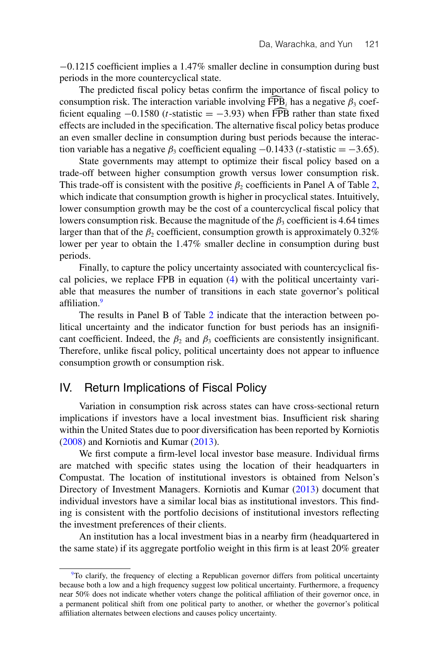−0.1215 coefficient implies a 1.47% smaller decline in consumption during bust periods in the more countercyclical state.

The predicted fiscal policy betas confirm the importance of fiscal policy to consumption risk. The interaction variable involving  $\widehat{FPB}$ , has a negative  $\beta_3$  coefficient equaling  $-0.1580$  (*t*-statistic =  $-3.93$ ) when FPB rather than state fixed effects are included in the specification. The alternative fiscal policy betas produce an even smaller decline in consumption during bust periods because the interaction variable has a negative  $\beta_3$  coefficient equaling  $-0.1433$  (*t*-statistic =  $-3.65$ ).

State governments may attempt to optimize their fiscal policy based on a trade-off between higher consumption growth versus lower consumption risk. This trade-off is consistent with the positive  $\beta_2$  coefficients in Panel A of Table [2,](#page-13-0) which indicate that consumption growth is higher in procyclical states. Intuitively, lower consumption growth may be the cost of a countercyclical fiscal policy that lowers consumption risk. Because the magnitude of the  $\beta_3$  coefficient is 4.64 times larger than that of the  $\beta_2$  coefficient, consumption growth is approximately 0.32% lower per year to obtain the 1.47% smaller decline in consumption during bust periods.

Finally, to capture the policy uncertainty associated with countercyclical fiscal policies, we replace FPB in equation [\(4\)](#page-12-1) with the political uncertainty variable that measures the number of transitions in each state governor's political affiliation.<sup>[9](#page-14-1)</sup>

<span id="page-14-2"></span>The results in Panel B of Table [2](#page-13-0) indicate that the interaction between political uncertainty and the indicator function for bust periods has an insignificant coefficient. Indeed, the  $\beta_2$  and  $\beta_3$  coefficients are consistently insignificant. Therefore, unlike fiscal policy, political uncertainty does not appear to influence consumption growth or consumption risk.

### <span id="page-14-0"></span>IV. Return Implications of Fiscal Policy

Variation in consumption risk across states can have cross-sectional return implications if investors have a local investment bias. Insufficient risk sharing within the United States due to poor diversification has been reported by Korniotis [\(2008\)](#page-29-14) and Korniotis and Kumar [\(2013\)](#page-29-1).

We first compute a firm-level local investor base measure. Individual firms are matched with specific states using the location of their headquarters in Compustat. The location of institutional investors is obtained from Nelson's Directory of Investment Managers. Korniotis and Kumar [\(2013\)](#page-29-1) document that individual investors have a similar local bias as institutional investors. This finding is consistent with the portfolio decisions of institutional investors reflecting the investment preferences of their clients.

An institution has a local investment bias in a nearby firm (headquartered in the same state) if its aggregate portfolio weight in this firm is at least 20% greater

<span id="page-14-1"></span>[<sup>9</sup>](#page-14-2)To clarify, the frequency of electing a Republican governor differs from political uncertainty because both a low and a high frequency suggest low political uncertainty. Furthermore, a frequency near 50% does not indicate whether voters change the political affiliation of their governor once, in a permanent political shift from one political party to another, or whether the governor's political affiliation alternates between elections and causes policy uncertainty.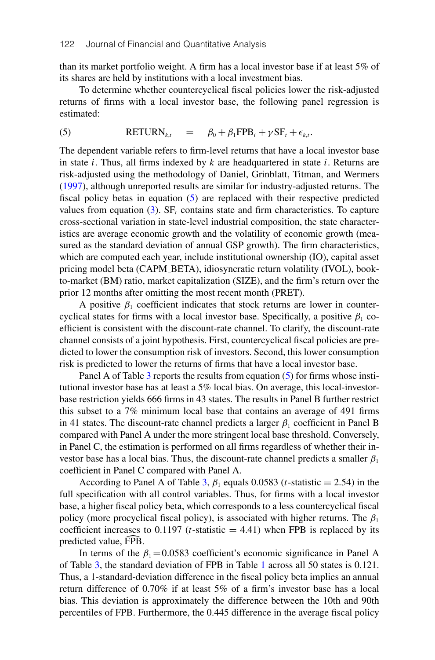than its market portfolio weight. A firm has a local investor base if at least 5% of its shares are held by institutions with a local investment bias.

To determine whether countercyclical fiscal policies lower the risk-adjusted returns of firms with a local investor base, the following panel regression is estimated:

<span id="page-15-0"></span>(5) 
$$
RETURN_{k,t} = \beta_0 + \beta_1 FPB_i + \gamma SF_t + \epsilon_{k,t}.
$$

The dependent variable refers to firm-level returns that have a local investor base in state *i*. Thus, all firms indexed by *k* are headquartered in state *i*. Returns are risk-adjusted using the methodology of Daniel, Grinblatt, Titman, and Wermers [\(1997\)](#page-28-17), although unreported results are similar for industry-adjusted returns. The fiscal policy betas in equation [\(5\)](#page-15-0) are replaced with their respective predicted values from equation [\(3\)](#page-11-0). SF*<sup>t</sup>* contains state and firm characteristics. To capture cross-sectional variation in state-level industrial composition, the state characteristics are average economic growth and the volatility of economic growth (measured as the standard deviation of annual GSP growth). The firm characteristics, which are computed each year, include institutional ownership (IO), capital asset pricing model beta (CAPM BETA), idiosyncratic return volatility (IVOL), bookto-market (BM) ratio, market capitalization (SIZE), and the firm's return over the prior 12 months after omitting the most recent month (PRET).

A positive  $\beta_1$  coefficient indicates that stock returns are lower in countercyclical states for firms with a local investor base. Specifically, a positive  $\beta_1$  coefficient is consistent with the discount-rate channel. To clarify, the discount-rate channel consists of a joint hypothesis. First, countercyclical fiscal policies are predicted to lower the consumption risk of investors. Second, this lower consumption risk is predicted to lower the returns of firms that have a local investor base.

Panel A of Table [3](#page-16-0) reports the results from equation [\(5\)](#page-15-0) for firms whose institutional investor base has at least a 5% local bias. On average, this local-investorbase restriction yields 666 firms in 43 states. The results in Panel B further restrict this subset to a 7% minimum local base that contains an average of 491 firms in 41 states. The discount-rate channel predicts a larger  $\beta_1$  coefficient in Panel B compared with Panel A under the more stringent local base threshold. Conversely, in Panel C, the estimation is performed on all firms regardless of whether their investor base has a local bias. Thus, the discount-rate channel predicts a smaller  $\beta_1$ coefficient in Panel C compared with Panel A.

According to Panel A of Table [3,](#page-16-0)  $\beta_1$  equals 0.0583 (*t*-statistic = 2.54) in the full specification with all control variables. Thus, for firms with a local investor base, a higher fiscal policy beta, which corresponds to a less countercyclical fiscal policy (more procyclical fiscal policy), is associated with higher returns. The  $\beta_1$ coefficient increases to  $0.1197$  (*t*-statistic = 4.41) when FPB is replaced by its predicted value, FPB.

In terms of the  $\beta_1 = 0.0583$  coefficient's economic significance in Panel A of Table [3,](#page-16-0) the standard deviation of FPB in Table [1](#page-8-0) across all 50 states is 0.121. Thus, a 1-standard-deviation difference in the fiscal policy beta implies an annual return difference of 0.70% if at least 5% of a firm's investor base has a local bias. This deviation is approximately the difference between the 10th and 90th percentiles of FPB. Furthermore, the 0.445 difference in the average fiscal policy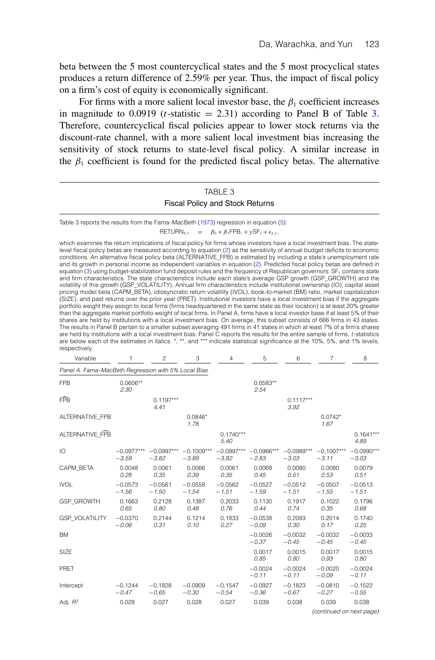beta between the 5 most countercyclical states and the 5 most procyclical states produces a return difference of 2.59% per year. Thus, the impact of fiscal policy on a firm's cost of equity is economically significant.

For firms with a more salient local investor base, the  $\beta_1$  coefficient increases in magnitude to  $0.0919$  (*t*-statistic = 2.31) according to Panel B of Table [3.](#page-16-0) Therefore, countercyclical fiscal policies appear to lower stock returns via the discount-rate channel, with a more salient local investment bias increasing the sensitivity of stock returns to state-level fiscal policy. A similar increase in the  $\beta_1$  coefficient is found for the predicted fiscal policy betas. The alternative

#### TABLE 3 Fiscal Policy and Stock Returns

Table 3 reports the results from the Fama–MacBeth [\(1973\)](#page-28-18) regression in equation [\(5\)](#page-15-0):

 $RETURN_{k,t} = \beta_0 + \beta_1FPB_i + \gamma SF_t + \epsilon_{k,t}$ 

which examines the return implications of fiscal policy for firms whose investors have a local investment bias. The statelevel fiscal policy betas are measured according to equation [\(2\)](#page-6-0) as the sensitivity of annual budget deficits to economic conditions. An alternative fiscal policy beta (ALTERNATIVE\_FPB) is estimated by including a state's unemployment rate and its growth in personal income as independent variables in equation [\(2\)](#page-6-0). Predicted fiscal policy betas are defined in equation [\(3\)](#page-11-0) using budget-stabilization fund deposit rules and the frequency of Republican governors. SF<sub>t</sub> contains state and firm characteristics. The state characteristics include each state's average GSP growth (GSP\_GROWTH) and the volatility of this growth (GSP\_VOLATILITY). Annual firm characteristics include institutional ownership (IO), capital asset pricing model beta (CAPM\_BETA), idiosyncratic return volatility (IVOL), book-to-market (BM) ratio, market capitalization (SIZE), and past returns over the prior year (PRET). Institutional investors have a local investment bias if the aggregate portfolio weight they assign to local firms (firms headquartered in the same state as their location) is at least 20% greater than the aggregate market portfolio weight of local firms. In Panel A, firms have a local investor base if at least 5% of their shares are held by institutions with a local investment bias. On average, this subset consists of 666 firms in 43 states. The results in Panel B pertain to a smaller subset averaging 491 firms in 41 states in which at least 7% of a firm's shares<br>are held by institutions with a local investment bias. Panel C reports the results for the entire are below each of the estimates in italics. \*, \*\*, and \*\*\* indicate statistical significance at the 10%, 5%, and 1% levels, respectively.

<span id="page-16-0"></span>

| Variable                                            | 1                       | 2                       | 3                       | 4                       | 5                       | 6                       | 7                       | 8                       |
|-----------------------------------------------------|-------------------------|-------------------------|-------------------------|-------------------------|-------------------------|-------------------------|-------------------------|-------------------------|
| Panel A. Fama-MacBeth Regression with 5% Local Bias |                         |                         |                         |                         |                         |                         |                         |                         |
| <b>FPB</b>                                          | $0.0606**$<br>2.30      |                         |                         |                         | $0.0583**$<br>2.54      |                         |                         |                         |
| FPB                                                 |                         | $0.1197***$<br>4.41     |                         |                         |                         | $0.1117***$<br>3.92     |                         |                         |
| ALTERNATIVE FPB                                     |                         |                         | $0.0846*$<br>1.78       |                         |                         |                         | $0.0742*$<br>1.67       |                         |
| ALTERNATIVE FPB                                     |                         |                         |                         | $0.1740***$<br>5.40     |                         |                         |                         | $0.1641***$<br>4.89     |
| IO                                                  | $-0.0977***$<br>$-3.59$ | $-0.0997***$<br>$-3.82$ | $-0.1009***$<br>$-3.89$ | $-0.0997***$<br>$-3.82$ | $-0.0966***$<br>$-2.83$ | $-0.0989***$<br>$-3.03$ | $-0.1007***$<br>$-3.11$ | $-0.0990***$<br>$-3.03$ |
| CAPM BETA                                           | 0.0048<br>0.28          | 0.0061<br>0.35          | 0.0066<br>0.39          | 0.0061<br>0.35          | 0.0068<br>0.45          | 0.0080<br>0.51          | 0.0080<br>0.53          | 0.0079<br>0.51          |
| <b>IVOL</b>                                         | $-0.0573$<br>$-1.56$    | $-0.0561$<br>$-1.50$    | $-0.0558$<br>$-1.54$    | $-0.0562$<br>$-1.51$    | $-0.0527$<br>$-1.59$    | $-0.0512$<br>$-1.51$    | $-0.0507$<br>$-1.55$    | $-0.0513$<br>$-1.51$    |
| <b>GSP GROWTH</b>                                   | 0.1663<br>0.65          | 0.2128<br>0.80          | 0.1387<br>0.48          | 0.2033<br>0.76          | 0.1130<br>0.44          | 0.1917<br>0.74          | 0.1022<br>0.35          | 0.1796<br>0.68          |
| <b>GSP VOLATILITY</b>                               | $-0.0370$<br>$-0.06$    | 0.2144<br>0.31          | 0.1214<br>0.10          | 0.1833<br>0.27          | $-0.0538$<br>$-0.09$    | 0.2093<br>0.30          | 0.2014<br>0.17          | 0.1740<br>0.25          |
| <b>BM</b>                                           |                         |                         |                         |                         | $-0.0026$<br>$-0.37$    | $-0.0032$<br>$-0.45$    | $-0.0032$<br>$-0.45$    | $-0.0033$<br>$-0.45$    |
| SIZE                                                |                         |                         |                         |                         | 0.0017<br>0.85          | 0.0015<br>0.80          | 0.0017<br>0.93          | 0.0015<br>0.80          |
| PRET                                                |                         |                         |                         |                         | $-0.0024$<br>$-0.11$    | $-0.0024$<br>$-0.11$    | $-0.0020$<br>$-0.09$    | $-0.0024$<br>$-0.11$    |
| Intercept                                           | $-0.1244$<br>$-0.47$    | $-0.1828$<br>$-0.65$    | $-0.0909$<br>$-0.30$    | $-0.1547$<br>$-0.54$    | $-0.0927$<br>$-0.36$    | $-0.1823$<br>$-0.67$    | $-0.0810$<br>$-0.27$    | $-0.1522$<br>$-0.55$    |
| Adj. $R^2$                                          | 0.028                   | 0.027                   | 0.028                   | 0.027                   | 0.039                   | 0.038                   | 0.039                   | 0.038                   |

(continued on next page)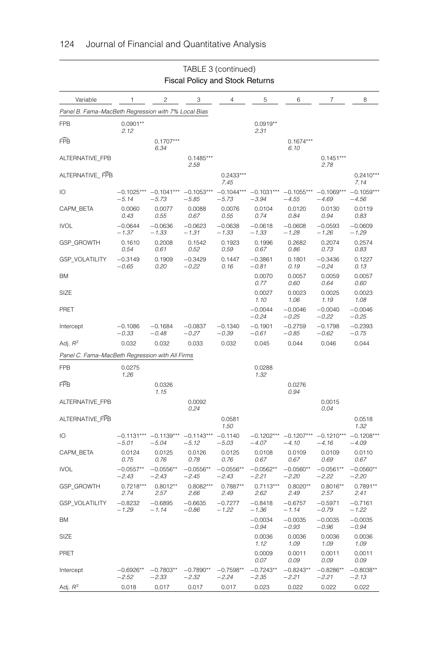|                                                     |                         |                         | <b>Fiscal Policy and Stock Returns</b> |                         |                         |                         |                         |                         |
|-----------------------------------------------------|-------------------------|-------------------------|----------------------------------------|-------------------------|-------------------------|-------------------------|-------------------------|-------------------------|
| Variable                                            | 1                       | $\overline{c}$          | 3                                      | $\overline{4}$          | 5                       | 6                       | $\overline{7}$          | 8                       |
| Panel B. Fama-MacBeth Regression with 7% Local Bias |                         |                         |                                        |                         |                         |                         |                         |                         |
| <b>FPB</b>                                          | $0.0901**$<br>2.12      |                         |                                        |                         | $0.0919**$<br>2.31      |                         |                         |                         |
| FPB                                                 |                         | $0.1707***$<br>6.34     |                                        |                         |                         | $0.1674***$<br>6.10     |                         |                         |
| ALTERNATIVE FPB                                     |                         |                         | $0.1485***$<br>2.58                    |                         |                         |                         | $0.1451***$<br>2.78     |                         |
| ALTERNATIVE FPB                                     |                         |                         |                                        | $0.2433***$<br>7.45     |                         |                         |                         | $0.2410***$<br>7.14     |
| IO                                                  | $-0.1025***$<br>$-5.14$ | $-0.1041***$<br>$-5.73$ | $-0.1053***$<br>$-5.85$                | $-0.1044***$<br>$-5.73$ | $-0.1031***$<br>$-3.94$ | $-0.1055***$<br>$-4.55$ | $-0.1069***$<br>$-4.69$ | $-0.1059***$<br>$-4.56$ |
| CAPM_BETA                                           | 0.0060<br>0.43          | 0.0077<br>0.55          | 0.0088<br>0.67                         | 0.0076<br>0.55          | 0.0104<br>0.74          | 0.0120<br>0.84          | 0.0130<br>0.94          | 0.0119<br>0.83          |
| <b>IVOL</b>                                         | $-0.0644$<br>$-1.37$    | $-0.0636$<br>$-1.33$    | $-0.0623$<br>$-1.31$                   | $-0.0638$<br>$-1.33$    | $-0.0618$<br>$-1.33$    | $-0.0608$<br>$-1.28$    | $-0.0593$<br>$-1.26$    | $-0.0609$<br>$-1.29$    |
| GSP_GROWTH                                          | 0.1610<br>0.54          | 0.2008<br>0.61          | 0.1542<br>0.52                         | 0.1923<br>0.59          | 0.1996<br>0.67          | 0.2682<br>0.86          | 0.2074<br>0.73          | 0.2574<br>0.83          |
| <b>GSP VOLATILITY</b>                               | $-0.3149$<br>$-0.65$    | 0.1909<br>0.20          | $-0.3429$<br>$-0.22$                   | 0.1447<br>0.16          | $-0.3861$<br>$-0.81$    | 0.1801<br>0.19          | $-0.3436$<br>$-0.24$    | 0.1227<br>0.13          |
| <b>BM</b>                                           |                         |                         |                                        |                         | 0.0070<br>0.77          | 0.0057<br>0.60          | 0.0059<br>0.64          | 0.0057<br>0.60          |
| SIZE                                                |                         |                         |                                        |                         | 0.0027<br>1.10          | 0.0023<br>1.06          | 0.0025<br>1.19          | 0.0023<br>1.08          |
| PRET                                                |                         |                         |                                        |                         | $-0.0044$<br>$-0.24$    | $-0.0046$<br>$-0.25$    | $-0.0040$<br>$-0.22$    | $-0.0046$<br>$-0.25$    |
| Intercept                                           | $-0.1086$<br>$-0.33$    | $-0.1684$<br>$-0.48$    | $-0.0837$<br>$-0.27$                   | $-0.1340$<br>$-0.39$    | $-0.1901$<br>$-0.61$    | $-0.2759$<br>$-0.85$    | $-0.1798$<br>$-0.62$    | $-0.2393$<br>$-0.75$    |
| Adj. $R^2$                                          | 0.032                   | 0.032                   | 0.033                                  | 0.032                   | 0.045                   | 0.044                   | 0.046                   | 0.044                   |
| Panel C. Fama-MacBeth Regression with All Firms     |                         |                         |                                        |                         |                         |                         |                         |                         |
| <b>FPB</b>                                          | 0.0275<br>1.26          |                         |                                        |                         | 0.0288<br>1.32          |                         |                         |                         |
| FPB                                                 |                         | 0.0326<br>1.15          |                                        |                         |                         | 0.0276<br>0.94          |                         |                         |
| ALTERNATIVE FPB                                     |                         |                         | 0.0092<br>0.24                         |                         |                         |                         | 0.0015<br>0.04          |                         |
| ALTERNATIVE FPB                                     |                         |                         |                                        | 0.0581<br>1.50          |                         |                         |                         | 0.0518<br>1.32          |
| IO                                                  | $-0.1131***$<br>$-5.01$ | $-0.1139***$<br>$-5.04$ | $-0.1143***$ -0.1140<br>$-5.12$        | $-5.03$                 | $-0.1202***$<br>$-4.07$ | $-0.1207***$<br>$-4.10$ | $-0.1210***$<br>$-4.16$ | $-0.1208***$<br>$-4.09$ |
| CAPM BETA                                           | 0.0124<br>0.75          | 0.0125<br>0.76          | 0.0126<br>0.78                         | 0.0125<br>0.76          | 0.0108<br>0.67          | 0.0109<br>0.67          | 0.0109<br>0.69          | 0.0110<br>0.67          |
| <b>IVOL</b>                                         | $-0.0557**$<br>$-2.43$  | $-0.0556**$<br>$-2.43$  | $-0.0556**$<br>$-2.45$                 | $-0.0556**$<br>$-2.43$  | $-0.0562**$<br>$-2.21$  | $-0.0560**$<br>$-2.20$  | $-0.0561**$<br>$-2.22$  | $-0.0560**$<br>$-2.20$  |
| GSP_GROWTH                                          | $0.7218***$<br>2.74     | $0.8012**$<br>2.57      | $0.8082***$<br>2.66                    | $0.7887**$<br>2.49      | $0.7113***$<br>2.62     | $0.8020**$<br>2.49      | $0.8016**$<br>2.57      | $0.7891**$<br>2.41      |
| GSP_VOLATILITY                                      | $-0.8232$<br>$-1.29$    | $-0.6895$<br>$-1.14$    | $-0.6635$<br>$-0.86$                   | $-0.7277$<br>$-1.22$    | $-0.8418$<br>$-1.36$    | $-0.6757$<br>$-1.14$    | $-0.5971$<br>$-0.79$    | $-0.7161$<br>$-1.22$    |
| BM                                                  |                         |                         |                                        |                         | $-0.0034$<br>-0.94      | $-0.0035$<br>$-0.93$    | $-0.0035$<br>$-0.96$    | $-0.0035$<br>$-0.94$    |
| SIZE                                                |                         |                         |                                        |                         | 0.0036<br>1.12          | 0.0036<br>1.09          | 0.0036<br>1.09          | 0.0036<br>1.09          |
| PRET                                                |                         |                         |                                        |                         | 0.0009<br>0.07          | 0.0011<br>0.09          | 0.0011<br>0.09          | 0.0011<br>0.09          |
| Intercept                                           | $-0.6926**$<br>$-2.52$  | $-0.7803**$<br>$-2.33$  | $-0.7890**$<br>$-2.32$                 | $-0.7598**$<br>$-2.24$  | $-0.7243**$<br>$-2.35$  | $-0.8243**$<br>$-2.21$  | $-0.8286**$<br>$-2.21$  | $-0.8038**$<br>$-2.13$  |
| Adj. $R^2$                                          | 0.018                   | 0.017                   | 0.017                                  | 0.017                   | 0.023                   | 0.022                   | 0.022                   | 0.022                   |

# TABLE 3 (continued)

124 Journal of Financial and Quantitative Analysis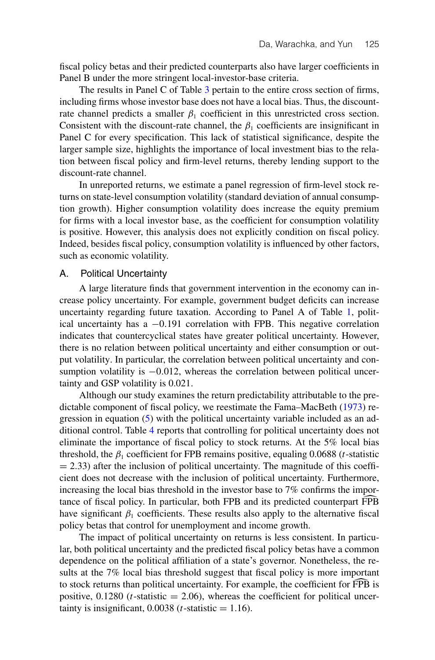fiscal policy betas and their predicted counterparts also have larger coefficients in Panel B under the more stringent local-investor-base criteria.

The results in Panel C of Table [3](#page-16-0) pertain to the entire cross section of firms, including firms whose investor base does not have a local bias. Thus, the discountrate channel predicts a smaller  $\beta_1$  coefficient in this unrestricted cross section. Consistent with the discount-rate channel, the  $\beta_1$  coefficients are insignificant in Panel C for every specification. This lack of statistical significance, despite the larger sample size, highlights the importance of local investment bias to the relation between fiscal policy and firm-level returns, thereby lending support to the discount-rate channel.

In unreported returns, we estimate a panel regression of firm-level stock returns on state-level consumption volatility (standard deviation of annual consumption growth). Higher consumption volatility does increase the equity premium for firms with a local investor base, as the coefficient for consumption volatility is positive. However, this analysis does not explicitly condition on fiscal policy. Indeed, besides fiscal policy, consumption volatility is influenced by other factors, such as economic volatility.

#### A. Political Uncertainty

A large literature finds that government intervention in the economy can increase policy uncertainty. For example, government budget deficits can increase uncertainty regarding future taxation. According to Panel A of Table [1,](#page-8-0) political uncertainty has a −0.191 correlation with FPB. This negative correlation indicates that countercyclical states have greater political uncertainty. However, there is no relation between political uncertainty and either consumption or output volatility. In particular, the correlation between political uncertainty and consumption volatility is -0.012, whereas the correlation between political uncertainty and GSP volatility is 0.021.

Although our study examines the return predictability attributable to the predictable component of fiscal policy, we reestimate the Fama–MacBeth [\(1973\)](#page-28-18) regression in equation  $(5)$  with the political uncertainty variable included as an additional control. Table [4](#page-19-0) reports that controlling for political uncertainty does not eliminate the importance of fiscal policy to stock returns. At the 5% local bias threshold, the  $\beta_1$  coefficient for FPB remains positive, equaling 0.0688 (*t*-statistic  $= 2.33$ ) after the inclusion of political uncertainty. The magnitude of this coefficient does not decrease with the inclusion of political uncertainty. Furthermore, increasing the local bias threshold in the investor base to 7% confirms the importance of fiscal policy. In particular, both FPB and its predicted counterpart FPB have significant  $\beta_1$  coefficients. These results also apply to the alternative fiscal policy betas that control for unemployment and income growth.

The impact of political uncertainty on returns is less consistent. In particular, both political uncertainty and the predicted fiscal policy betas have a common dependence on the political affiliation of a state's governor. Nonetheless, the results at the 7% local bias threshold suggest that fiscal policy is more important to stock returns than political uncertainty. For example, the coefficient for FPB is positive,  $0.1280$  (*t*-statistic = 2.06), whereas the coefficient for political uncertainty is insignificant,  $0.0038$  (*t*-statistic = 1.16).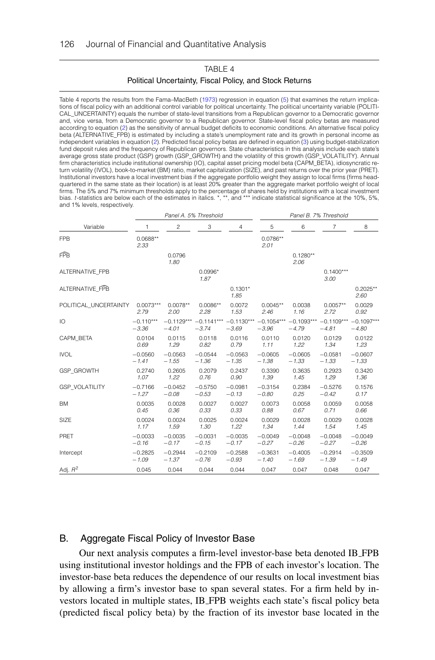#### TABLE 4 Political Uncertainty, Fiscal Policy, and Stock Returns

Table 4 reports the results from the Fama–MacBeth [\(1973\)](#page-28-18) regression in equation [\(5\)](#page-15-0) that examines the return implications of fiscal policy with an additional control variable for political uncertainty. The political uncertainty variable (POLITI-CAL\_UNCERTAINTY) equals the number of state-level transitions from a Republican governor to a Democratic governor and, vice versa, from a Democratic governor to a Republican governor. State-level fiscal policy betas are measured according to equation [\(2\)](#page-6-0) as the sensitivity of annual budget deficits to economic conditions. An alternative fiscal policy beta (ALTERNATIVE\_FPB) is estimated by including a state's unemployment rate and its growth in personal income as independent variables in equation [\(2\)](#page-6-0). Predicted fiscal policy betas are defined in equation [\(3\)](#page-11-0) using budget-stabilization fund deposit rules and the frequency of Republican governors. State characteristics in this analysis include each state's average gross state product (GSP) growth (GSP\_GROWTH) and the volatility of this growth (GSP\_VOLATILITY). Annual firm characteristics include institutional ownership (IO), capital asset pricing model beta (CAPM\_BETA), idiosyncratic return volatility (IVOL), book-to-market (BM) ratio, market capitalization (SIZE), and past returns over the prior year (PRET). Institutional investors have a local investment bias if the aggregate portfolio weight they assign to local firms (firms headquartered in the same state as their location) is at least 20% greater than the aggregate market portfolio weight of local firms. The 5% and 7% minimum thresholds apply to the percentage of shares held by institutions with a local investment bias. t-statistics are below each of the estimates in italics. \*, \*\*, and \*\*\* indicate statistical significance at the 10%, 5%, and 1% levels, respectively.

<span id="page-19-0"></span>

|                       |                        |                         | Panel A. 5% Threshold |                   | Panel B. 7% Threshold                         |                         |                         |                         |
|-----------------------|------------------------|-------------------------|-----------------------|-------------------|-----------------------------------------------|-------------------------|-------------------------|-------------------------|
| Variable              | 1                      | $\overline{c}$          | 3                     | 4                 | 5                                             | 6                       | $\overline{7}$          | 8                       |
| <b>FPB</b>            | $0.0688**$<br>2.33     |                         |                       |                   | 0.0786**<br>2.01                              |                         |                         |                         |
| FPB                   |                        | 0.0796<br>1.80          |                       |                   |                                               | $0.1280**$<br>2.06      |                         |                         |
| ALTERNATIVE FPB       |                        |                         | $0.0996*$<br>1.87     |                   |                                               |                         | $0.1400***$<br>3.00     |                         |
| ALTERNATIVE FPB       |                        |                         |                       | $0.1301*$<br>1.85 |                                               |                         |                         | $0.2025**$<br>2.60      |
| POLITICAL UNCERTAINTY | $0.0073***$            | $0.0078**$              | $0.0086**$            | 0.0072            | $0.0045**$                                    | 0.0038                  | $0.0057**$              | 0.0029                  |
|                       | 2.79                   | 2.00                    | 2.28                  | 1.53              | 2.46                                          | 1.16                    | 2.72                    | 0.92                    |
| IO                    | $-0.110***$<br>$-3.36$ | $-0.1129***$<br>$-4.01$ | $-3.74$               | $-3.69$           | $-0.1141***$ -0.1130*** -0.1054***<br>$-3.96$ | $-0.1093***$<br>$-4.79$ | $-0.1109***$<br>$-4.81$ | $-0.1097***$<br>$-4.80$ |
| CAPM BETA             | 0.0104                 | 0.0115                  | 0.0118                | 0.0116            | 0.0110                                        | 0.0120                  | 0.0129                  | 0.0122                  |
|                       | 0.69                   | 1.29                    | 0.82                  | 0.79              | 1.11                                          | 1.22                    | 1.34                    | 1.23                    |
| <b>IVOL</b>           | $-0.0560$              | $-0.0563$               | $-0.0544$             | $-0.0563$         | $-0.0605$                                     | $-0.0605$               | $-0.0581$               | $-0.0607$               |
|                       | $-1.41$                | $-1.55$                 | $-1.36$               | $-1.35$           | $-1.38$                                       | $-1.33$                 | $-1.33$                 | $-1.33$                 |
| <b>GSP GROWTH</b>     | 0.2740                 | 0.2605                  | 0.2079                | 0.2437            | 0.3390                                        | 0.3635                  | 0.2923                  | 0.3420                  |
|                       | 1.07                   | 1.22                    | 0.76                  | 0.90              | 1.39                                          | 1.45                    | 1.29                    | 1.36                    |
| <b>GSP VOLATILITY</b> | $-0.7166$              | $-0.0452$               | $-0.5750$             | $-0.0981$         | $-0.3154$                                     | 0.2384                  | $-0.5276$               | 0.1576                  |
|                       | $-1.27$                | $-0.08$                 | $-0.53$               | $-0.13$           | $-0.80$                                       | 0.25                    | $-0.42$                 | 0.17                    |
| BM                    | 0.0035                 | 0.0028                  | 0.0027                | 0.0027            | 0.0073                                        | 0.0058                  | 0.0059                  | 0.0058                  |
|                       | 0.45                   | 0.36                    | 0.33                  | 0.33              | 0.88                                          | 0.67                    | 0.71                    | 0.66                    |
| SIZE                  | 0.0024                 | 0.0024                  | 0.0025                | 0.0024            | 0.0029                                        | 0.0028                  | 0.0029                  | 0.0028                  |
|                       | 1.17                   | 1.59                    | 1.30                  | 1.22              | 1.34                                          | 1.44                    | 1.54                    | 1.45                    |
| PRET                  | $-0.0033$              | $-0.0035$               | $-0.0031$             | $-0.0035$         | $-0.0049$                                     | $-0.0048$               | $-0.0048$               | $-0.0049$               |
|                       | $-0.16$                | $-0.17$                 | $-0.15$               | $-0.17$           | $-0.27$                                       | $-0.26$                 | $-0.27$                 | $-0.26$                 |
| Intercept             | $-0.2825$              | $-0.2944$               | $-0.2109$             | $-0.2588$         | $-0.3631$                                     | $-0.4005$               | $-0.2914$               | $-0.3509$               |
|                       | $-1.09$                | $-1.37$                 | $-0.76$               | $-0.93$           | $-1.40$                                       | $-1.69$                 | $-1.39$                 | $-1.49$                 |
| Adj. $R^2$            | 0.045                  | 0.044                   | 0.044                 | 0.044             | 0.047                                         | 0.047                   | 0.048                   | 0.047                   |

#### B. Aggregate Fiscal Policy of Investor Base

Our next analysis computes a firm-level investor-base beta denoted IB FPB using institutional investor holdings and the FPB of each investor's location. The investor-base beta reduces the dependence of our results on local investment bias by allowing a firm's investor base to span several states. For a firm held by investors located in multiple states, IB FPB weights each state's fiscal policy beta (predicted fiscal policy beta) by the fraction of its investor base located in the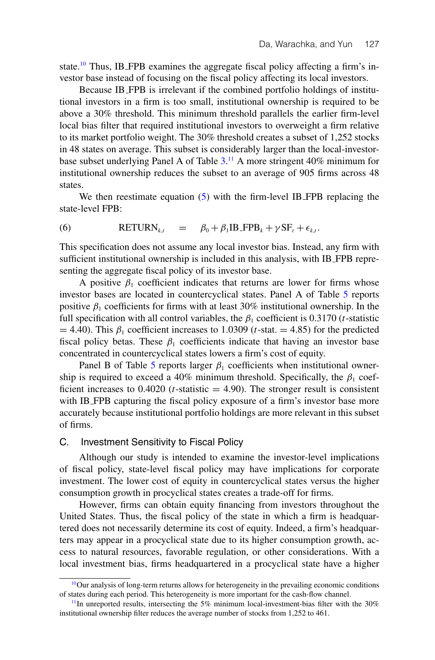<span id="page-20-2"></span>state.<sup>[10](#page-20-0)</sup> Thus, IB\_FPB examines the aggregate fiscal policy affecting a firm's investor base instead of focusing on the fiscal policy affecting its local investors.

Because IB FPB is irrelevant if the combined portfolio holdings of institutional investors in a firm is too small, institutional ownership is required to be above a 30% threshold. This minimum threshold parallels the earlier firm-level local bias filter that required institutional investors to overweight a firm relative to its market portfolio weight. The 30% threshold creates a subset of 1,252 stocks in 48 states on average. This subset is considerably larger than the local-investorbase subset underlying Panel A of Table [3.](#page-16-0) [11](#page-20-1) A more stringent 40% minimum for institutional ownership reduces the subset to an average of 905 firms across 48 states.

<span id="page-20-4"></span><span id="page-20-3"></span>We then reestimate equation [\(5\)](#page-15-0) with the firm-level IB FPB replacing the state-level FPB:

(6) 
$$
RETURN_{k,t} = \beta_0 + \beta_1 IB\_FPB_k + \gamma SF_t + \epsilon_{k,t}.
$$

This specification does not assume any local investor bias. Instead, any firm with sufficient institutional ownership is included in this analysis, with IB FPB representing the aggregate fiscal policy of its investor base.

A positive  $\beta_1$  coefficient indicates that returns are lower for firms whose investor bases are located in countercyclical states. Panel A of Table [5](#page-21-0) reports positive  $\beta_1$  coefficients for firms with at least 30% institutional ownership. In the full specification with all control variables, the  $\beta_1$  coefficient is 0.3170 (*t*-statistic  $= 4.40$ ). This  $\beta_1$  coefficient increases to 1.0309 (*t*-stat.  $= 4.85$ ) for the predicted fiscal policy betas. These  $\beta_1$  coefficients indicate that having an investor base concentrated in countercyclical states lowers a firm's cost of equity.

Panel B of Table [5](#page-21-0) reports larger  $\beta_1$  coefficients when institutional ownership is required to exceed a 40% minimum threshold. Specifically, the  $\beta_1$  coefficient increases to  $0.4020$  (*t*-statistic = 4.90). The stronger result is consistent with IB FPB capturing the fiscal policy exposure of a firm's investor base more accurately because institutional portfolio holdings are more relevant in this subset of firms.

#### C. Investment Sensitivity to Fiscal Policy

Although our study is intended to examine the investor-level implications of fiscal policy, state-level fiscal policy may have implications for corporate investment. The lower cost of equity in countercyclical states versus the higher consumption growth in procyclical states creates a trade-off for firms.

However, firms can obtain equity financing from investors throughout the United States. Thus, the fiscal policy of the state in which a firm is headquartered does not necessarily determine its cost of equity. Indeed, a firm's headquarters may appear in a procyclical state due to its higher consumption growth, access to natural resources, favorable regulation, or other considerations. With a local investment bias, firms headquartered in a procyclical state have a higher

<span id="page-20-0"></span><sup>&</sup>lt;sup>[10](#page-20-2)</sup>Our analysis of long-term returns allows for heterogeneity in the prevailing economic conditions of states during each period. This heterogeneity is more important for the cash-flow channel.

<span id="page-20-1"></span> $11$ In unreported results, intersecting the 5% minimum local-investment-bias filter with the 30% institutional ownership filter reduces the average number of stocks from 1,252 to 461.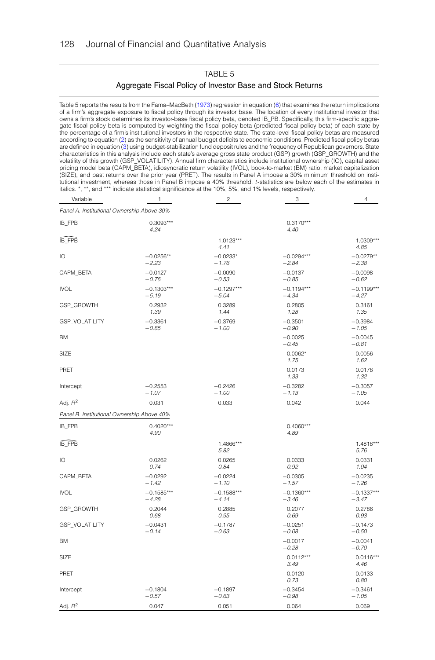#### TABLE 5

#### Aggregate Fiscal Policy of Investor Base and Stock Returns

Table 5 reports the results from the Fama–MacBeth [\(1973\)](#page-28-18) regression in equation [\(6\)](#page-20-4) that examines the return implications of a firm's aggregate exposure to fiscal policy through its investor base. The location of every institutional investor that owns a firm's stock determines its investor-base fiscal policy beta, denoted IB\_PB. Specifically, this firm-specific aggregate fiscal policy beta is computed by weighting the fiscal policy beta (predicted fiscal policy beta) of each state by the percentage of a firm's institutional investors in the respective state. The state-level fiscal policy betas are measured according to equation [\(2\)](#page-6-0) as the sensitivity of annual budget deficits to economic conditions. Predicted fiscal policy betas are defined in equation [\(3\)](#page-11-0) using budget-stabilization fund deposit rules and the frequency of Republican governors. State characteristics in this analysis include each state's average gross state product (GSP) growth (GSP\_GROWTH) and the volatility of this growth (GSP\_VOLATILITY). Annual firm characteristics include institutional ownership (IO), capital asset pricing model beta (CAPM\_BETA), idiosyncratic return volatility (IVOL), book-to-market (BM) ratio, market capitalization (SIZE), and past returns over the prior year (PRET). The results in Panel A impose a 30% minimum threshold on institutional investment, whereas those in Panel B impose a 40% threshold. *t-*statistics are below each of the estimates in<br>italics. \*, \*\*, and \*\*\* indicate statistical significance at the 10%, 5%, and 1% levels, respectively.

<span id="page-21-0"></span>

| Variable                                   | 1                       | 2                       | 3                       | 4                       |
|--------------------------------------------|-------------------------|-------------------------|-------------------------|-------------------------|
| Panel A. Institutional Ownership Above 30% |                         |                         |                         |                         |
| <b>IB FPB</b>                              | 0.3093***<br>4.24       |                         | $0.3170***$<br>4.40     |                         |
| <b>IB_FPB</b>                              |                         | 1.0123***<br>4.41       |                         | 1.0309***<br>4.85       |
| IO                                         | $-0.0256**$<br>$-2.23$  | $-0.0233*$<br>$-1.76$   | $-0.0294***$<br>$-2.84$ | $-0.0279**$<br>$-2.38$  |
| CAPM_BETA                                  | $-0.0127$<br>$-0.76$    | $-0.0090$<br>$-0.53$    | $-0.0137$<br>$-0.85$    | $-0.0098$<br>$-0.62$    |
| <b>IVOL</b>                                | $-0.1303***$<br>-5.19   | $-0.1297***$<br>$-5.04$ | $-0.1194***$<br>$-4.34$ | $-0.1199***$<br>$-4.27$ |
| GSP_GROWTH                                 | 0.2932<br>1.39          | 0.3289<br>1.44          | 0.2805<br>1.28          | 0.3161<br>1.35          |
| GSP_VOLATILITY                             | $-0.3361$<br>$-0.85$    | $-0.3769$<br>$-1.00$    | $-0.3501$<br>$-0.90$    | $-0.3984$<br>$-1.05$    |
| BM                                         |                         |                         | $-0.0025$<br>$-0.45$    | $-0.0045$<br>$-0.81$    |
| SIZE                                       |                         |                         | $0.0062*$<br>1.75       | 0.0056<br>1.62          |
| PRET                                       |                         |                         | 0.0173<br>1.33          | 0.0178<br>1.32          |
| Intercept                                  | $-0.2553$<br>$-1.07$    | $-0.2426$<br>$-1.00$    | $-0.3282$<br>$-1.13$    | $-0.3057$<br>$-1.05$    |
| Adj. $R^2$                                 | 0.031                   | 0.033                   | 0.042                   | 0.044                   |
| Panel B. Institutional Ownership Above 40% |                         |                         |                         |                         |
| IB_FPB                                     | $0.4020***$<br>4.90     |                         | $0.4060***$<br>4.89     |                         |
| <b>IB FPB</b>                              |                         | 1.4866***<br>5.82       |                         | 1.4818***<br>5.76       |
| IO                                         | 0.0262<br>0.74          | 0.0265<br>0.84          | 0.0333<br>0.92          | 0.0331<br>1.04          |
| CAPM BETA                                  | $-0.0292$<br>$-1.42$    | $-0.0224$<br>$-1.10$    | $-0.0305$<br>$-1.57$    | $-0.0235$<br>$-1.26$    |
| <b>IVOL</b>                                | $-0.1585***$<br>$-4.28$ | $-0.1588***$<br>$-4.14$ | $-0.1360***$<br>$-3.46$ | $-0.1337***$<br>$-3.47$ |
| GSP_GROWTH                                 | 0.2044<br>0.68          | 0.2885<br>0.95          | 0.2077<br>0.69          | 0.2786<br>0.93          |
| GSP_VOLATILITY                             | $-0.0431$<br>$-0.14$    | $-0.1787$<br>$-0.63$    | $-0.0251$<br>$-0.08$    | $-0.1473$<br>$-0.50$    |
| <b>BM</b>                                  |                         |                         | $-0.0017$<br>$-0.28$    | $-0.0041$<br>$-0.70$    |
| SIZE                                       |                         |                         | $0.0112***$<br>3.49     | $0.0116***$<br>4.46     |
| PRET                                       |                         |                         | 0.0120<br>0.73          | 0.0133<br>0.80          |
| Intercept                                  | $-0.1804$<br>$-0.57$    | $-0.1897$<br>$-0.63$    | $-0.3454$<br>$-0.98$    | $-0.3461$<br>$-1.05$    |
| Adj. R <sup>2</sup>                        | 0.047                   | 0.051                   | 0.064                   | 0.069                   |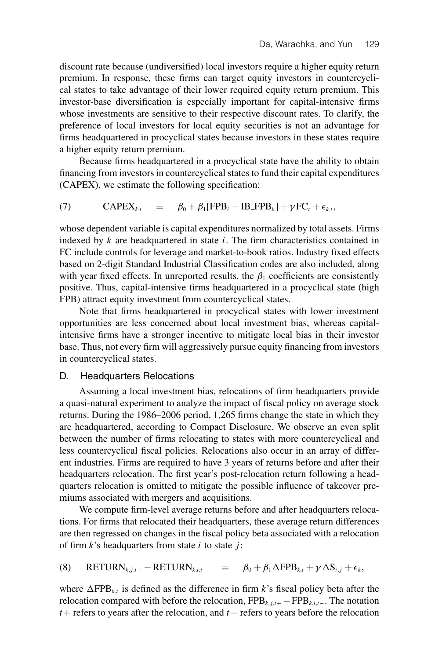discount rate because (undiversified) local investors require a higher equity return premium. In response, these firms can target equity investors in countercyclical states to take advantage of their lower required equity return premium. This investor-base diversification is especially important for capital-intensive firms whose investments are sensitive to their respective discount rates. To clarify, the preference of local investors for local equity securities is not an advantage for firms headquartered in procyclical states because investors in these states require a higher equity return premium.

Because firms headquartered in a procyclical state have the ability to obtain financing from investors in countercyclical states to fund their capital expenditures (CAPEX), we estimate the following specification:

(7) 
$$
\mathsf{CAPEX}_{k,t} = \beta_0 + \beta_1[\mathsf{FPB}_i - \mathsf{IB\_FPB}_k] + \gamma \mathsf{FC}_t + \epsilon_{k,t},
$$

whose dependent variable is capital expenditures normalized by total assets. Firms indexed by *k* are headquartered in state *i*. The firm characteristics contained in FC include controls for leverage and market-to-book ratios. Industry fixed effects based on 2-digit Standard Industrial Classification codes are also included, along with year fixed effects. In unreported results, the  $\beta_1$  coefficients are consistently positive. Thus, capital-intensive firms headquartered in a procyclical state (high FPB) attract equity investment from countercyclical states.

Note that firms headquartered in procyclical states with lower investment opportunities are less concerned about local investment bias, whereas capitalintensive firms have a stronger incentive to mitigate local bias in their investor base. Thus, not every firm will aggressively pursue equity financing from investors in countercyclical states.

#### D. Headquarters Relocations

Assuming a local investment bias, relocations of firm headquarters provide a quasi-natural experiment to analyze the impact of fiscal policy on average stock returns. During the 1986–2006 period, 1,265 firms change the state in which they are headquartered, according to Compact Disclosure. We observe an even split between the number of firms relocating to states with more countercyclical and less countercyclical fiscal policies. Relocations also occur in an array of different industries. Firms are required to have 3 years of returns before and after their headquarters relocation. The first year's post-relocation return following a headquarters relocation is omitted to mitigate the possible influence of takeover premiums associated with mergers and acquisitions.

We compute firm-level average returns before and after headquarters relocations. For firms that relocated their headquarters, these average return differences are then regressed on changes in the fiscal policy beta associated with a relocation of firm *k*'s headquarters from state *i* to state *j*:

<span id="page-22-0"></span>(8) 
$$
RETURN_{k,j,t+} - RETURN_{k,i,t-} = \beta_0 + \beta_1 \Delta FPB_{k,t} + \gamma \Delta S_{i,j} + \epsilon_k,
$$

where  $\Delta$ FPB<sub>*k*,*t*</sub> is defined as the difference in firm *k*'s fiscal policy beta after the relocation compared with before the relocation,  $FPB_{k,i,t+} - FPB_{k,i,t-}$ . The notation *t*+ refers to years after the relocation, and *t*− refers to years before the relocation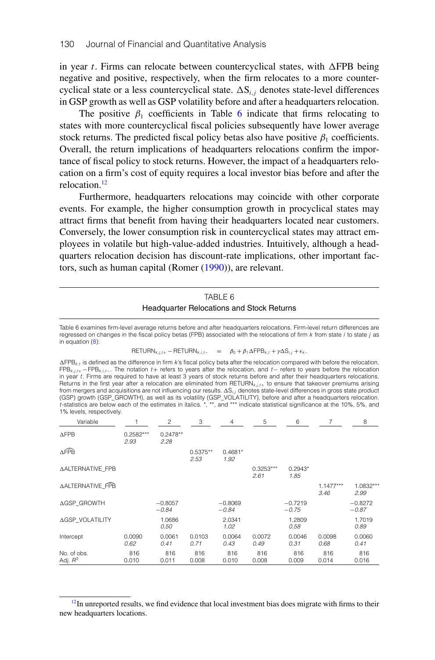in year  $t$ . Firms can relocate between countercyclical states, with  $\triangle FPB$  being negative and positive, respectively, when the firm relocates to a more countercyclical state or a less countercyclical state.  $\Delta S_{i,j}$  denotes state-level differences in GSP growth as well as GSP volatility before and after a headquarters relocation.

The positive  $\beta_1$  coefficients in Table [6](#page-23-0) indicate that firms relocating to states with more countercyclical fiscal policies subsequently have lower average stock returns. The predicted fiscal policy betas also have positive  $\beta_1$  coefficients. Overall, the return implications of headquarters relocations confirm the importance of fiscal policy to stock returns. However, the impact of a headquarters relocation on a firm's cost of equity requires a local investor bias before and after the relocation.[12](#page-23-1)

<span id="page-23-2"></span>Furthermore, headquarters relocations may coincide with other corporate events. For example, the higher consumption growth in procyclical states may attract firms that benefit from having their headquarters located near customers. Conversely, the lower consumption risk in countercyclical states may attract employees in volatile but high-value-added industries. Intuitively, although a headquarters relocation decision has discount-rate implications, other important factors, such as human capital (Romer [\(1990\)](#page-29-22)), are relevant.

#### TABLE 6

#### Headquarter Relocations and Stock Returns

Table 6 examines firm-level average returns before and after headquarters relocations. Firm-level return differences are regressed on changes in the fiscal policy betas (FPB) associated with the relocations of firm k from state i to state j as in equation  $(8)$ :

$$
RETURN_{k,j,t+} - RETURN_{k,j,t-} = \beta_0 + \beta_1 \Delta FPB_{k,t} + \gamma \Delta S_{i,j} + \epsilon_k.
$$

 $\Delta$ FPB<sub>k,t</sub> is defined as the difference in firm k's fiscal policy beta after the relocation compared with before the relocation,  $FPB_{k,i,t}$  –  $FPB_{k,i,t-}$ . The notation  $t+$  refers to years after the relocation, and  $t-$  refers to years before the relocation in year t. Firms are required to have at least 3 years of stock returns before and after their headquarters relocations. Returns in the first year after a relocation are eliminated from RETURN $_{k,j,t+}$  to ensure that takeover premiums arising from mergers and acquisitions are not influencing our results. ΔS<sub>i.j</sub> denotes state-level differences in gross state product<br>(GSP) growth (GSP\_GROWTH), as well as its volatility (GSP\_VOLATILITY), before and after a headqu t-statistics are below each of the estimates in italics. \*, \*\*, and \*\*\* indicate statistical significance at the 10%, 5%, and 1% levels, respectively.

<span id="page-23-0"></span>

| Variable                  |                     | 2                    | 3                  | $\overline{4}$       | 5                   | 6                    |                     | 8                    |
|---------------------------|---------------------|----------------------|--------------------|----------------------|---------------------|----------------------|---------------------|----------------------|
| $\triangle FPB$           | $0.2582***$<br>2.93 | $0.2478**$<br>2.28   |                    |                      |                     |                      |                     |                      |
| $\triangle$ FPB           |                     |                      | $0.5375**$<br>2.53 | $0.4681*$<br>1.92    |                     |                      |                     |                      |
| <b>AALTERNATIVE FPB</b>   |                     |                      |                    |                      | $0.3253***$<br>2.61 | $0.2943*$<br>1.85    |                     |                      |
| <b>AALTERNATIVE FPB</b>   |                     |                      |                    |                      |                     |                      | $1.1477***$<br>3.46 | 1.0832***<br>2.99    |
| AGSP GROWTH               |                     | $-0.8057$<br>$-0.84$ |                    | $-0.8069$<br>$-0.84$ |                     | $-0.7219$<br>$-0.75$ |                     | $-0.8272$<br>$-0.87$ |
| <b>AGSP VOLATILITY</b>    |                     | 1.0686<br>0.50       |                    | 2.0341<br>1.02       |                     | 1.2809<br>0.58       |                     | 1.7019<br>0.89       |
| Intercept                 | 0.0090<br>0.62      | 0.0061<br>0.41       | 0.0103<br>0.71     | 0.0064<br>0.43       | 0.0072<br>0.49      | 0.0046<br>0.31       | 0.0098<br>0.68      | 0.0060<br>0.41       |
| No. of obs.<br>Adj. $R^2$ | 816<br>0.010        | 816<br>0.011         | 816<br>0.008       | 816<br>0.010         | 816<br>0.008        | 816<br>0.009         | 816<br>0.014        | 816<br>0.016         |

<span id="page-23-1"></span> $12$ In unreported results, we find evidence that local investment bias does migrate with firms to their new headquarters locations.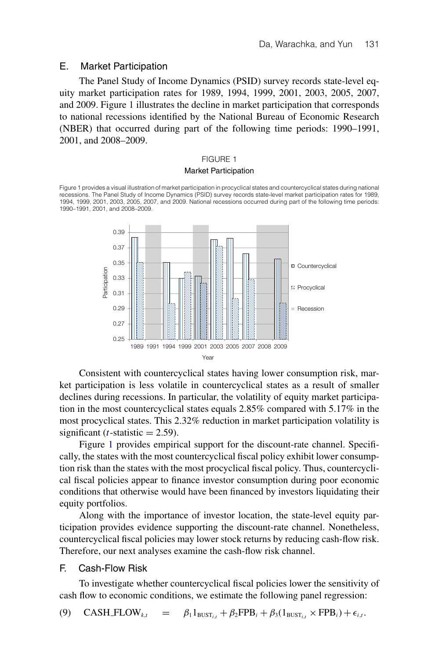#### E. Market Participation

The Panel Study of Income Dynamics (PSID) survey records state-level equity market participation rates for 1989, 1994, 1999, 2001, 2003, 2005, 2007, and 2009. Figure [1](#page-24-0) illustrates the decline in market participation that corresponds to national recessions identified by the National Bureau of Economic Research (NBER) that occurred during part of the following time periods: 1990–1991, 2001, and 2008–2009.

<span id="page-24-0"></span>FIGURE 1

#### Market Participation Figure 1 provides a visual illustration of market participation in procyclical states and countercyclical states during national recessions. The Panel Study of Income Dynamics (PSID) survey records state-level market participation rates for 1989, 1994, 1999, 2001, 2003, 2005, 2007, and 2009. National recessions occurred during part of the following time periods: 1990–1991, 2001, and 2008–2009. 0.39 0.37 0.35 Countercyclical Participation participation 0.33 **Procyclical** 0.31 0.29 **Recession** 0.27 0.25

Consistent with countercyclical states having lower consumption risk, market participation is less volatile in countercyclical states as a result of smaller declines during recessions. In particular, the volatility of equity market participation in the most countercyclical states equals 2.85% compared with 5.17% in the most procyclical states. This 2.32% reduction in market participation volatility is significant ( $t$ -statistic  $= 2.59$ ).

1989 1991 1994 1999 2001 2003 2005 2007 2008 2009

Year

Figure [1](#page-24-0) provides empirical support for the discount-rate channel. Specifically, the states with the most countercyclical fiscal policy exhibit lower consumption risk than the states with the most procyclical fiscal policy. Thus, countercyclical fiscal policies appear to finance investor consumption during poor economic conditions that otherwise would have been financed by investors liquidating their equity portfolios.

Along with the importance of investor location, the state-level equity participation provides evidence supporting the discount-rate channel. Nonetheless, countercyclical fiscal policies may lower stock returns by reducing cash-flow risk. Therefore, our next analyses examine the cash-flow risk channel.

#### F. Cash-Flow Risk

<span id="page-24-1"></span>To investigate whether countercyclical fiscal policies lower the sensitivity of cash flow to economic conditions, we estimate the following panel regression:

$$
(9) \quad \text{CASH.FLOW}_{k,t} \quad = \quad \beta_1 1_{\text{BUST}_{i,t}} + \beta_2 \text{FPB}_i + \beta_3 (1_{\text{BUST}_{i,t}} \times \text{FPB}_i) + \epsilon_{i,t}.
$$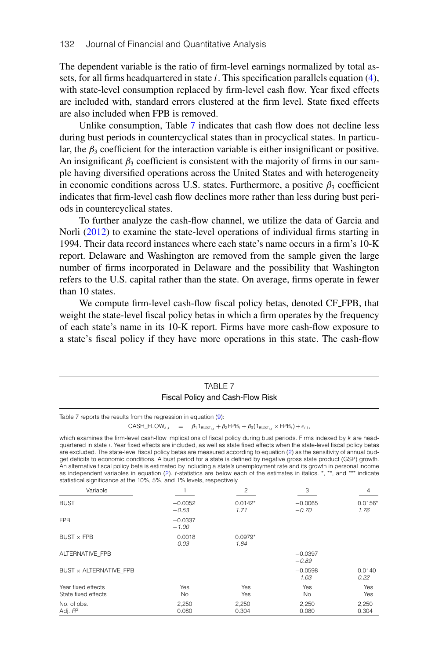The dependent variable is the ratio of firm-level earnings normalized by total assets, for all firms headquartered in state *i*. This specification parallels equation [\(4\)](#page-12-1), with state-level consumption replaced by firm-level cash flow. Year fixed effects are included with, standard errors clustered at the firm level. State fixed effects are also included when FPB is removed.

Unlike consumption, Table [7](#page-25-0) indicates that cash flow does not decline less during bust periods in countercyclical states than in procyclical states. In particular, the  $\beta_3$  coefficient for the interaction variable is either insignificant or positive. An insignificant  $\beta_3$  coefficient is consistent with the majority of firms in our sample having diversified operations across the United States and with heterogeneity in economic conditions across U.S. states. Furthermore, a positive  $\beta_3$  coefficient indicates that firm-level cash flow declines more rather than less during bust periods in countercyclical states.

To further analyze the cash-flow channel, we utilize the data of Garcia and Norli [\(2012\)](#page-28-4) to examine the state-level operations of individual firms starting in 1994. Their data record instances where each state's name occurs in a firm's 10-K report. Delaware and Washington are removed from the sample given the large number of firms incorporated in Delaware and the possibility that Washington refers to the U.S. capital rather than the state. On average, firms operate in fewer than 10 states.

We compute firm-level cash-flow fiscal policy betas, denoted CF FPB, that weight the state-level fiscal policy betas in which a firm operates by the frequency of each state's name in its 10-K report. Firms have more cash-flow exposure to a state's fiscal policy if they have more operations in this state. The cash-flow

<span id="page-25-0"></span>

|                                                                                                                                                                                                                                                                                                                                                                                                                                                                                                                                                                                                                                                                                                                                                                                                                                                          |                                                                                                                                                      | TABLE 7                                 |                      |                   |
|----------------------------------------------------------------------------------------------------------------------------------------------------------------------------------------------------------------------------------------------------------------------------------------------------------------------------------------------------------------------------------------------------------------------------------------------------------------------------------------------------------------------------------------------------------------------------------------------------------------------------------------------------------------------------------------------------------------------------------------------------------------------------------------------------------------------------------------------------------|------------------------------------------------------------------------------------------------------------------------------------------------------|-----------------------------------------|----------------------|-------------------|
|                                                                                                                                                                                                                                                                                                                                                                                                                                                                                                                                                                                                                                                                                                                                                                                                                                                          |                                                                                                                                                      | <b>Fiscal Policy and Cash-Flow Risk</b> |                      |                   |
| Table 7 reports the results from the regression in equation (9):                                                                                                                                                                                                                                                                                                                                                                                                                                                                                                                                                                                                                                                                                                                                                                                         | CASH_FLOW <sub>k,t</sub> = $\beta_1 1_{\text{BUST}_{i}} + \beta_2 \text{FPB}_i + \beta_3 (1_{\text{BUST}_{i}} \times \text{FPB}_i) + \epsilon_{i,t}$ |                                         |                      |                   |
| which examines the firm-level cash-flow implications of fiscal policy during bust periods. Firms indexed by $k$ are head-<br>quartered in state i. Year fixed effects are included, as well as state fixed effects when the state-level fiscal policy betas<br>are excluded. The state-level fiscal policy betas are measured according to equation (2) as the sensitivity of annual bud-<br>get deficits to economic conditions. A bust period for a state is defined by negative gross state product (GSP) growth.<br>An alternative fiscal policy beta is estimated by including a state's unemployment rate and its growth in personal income<br>as independent variables in equation (2). t-statistics are below each of the estimates in italics. *, **, and *** indicate<br>statistical significance at the 10%, 5%, and 1% levels, respectively. |                                                                                                                                                      |                                         |                      |                   |
| Variable                                                                                                                                                                                                                                                                                                                                                                                                                                                                                                                                                                                                                                                                                                                                                                                                                                                 | $-1$                                                                                                                                                 | $\mathbf{2}$                            | 3                    | 4                 |
| <b>BUST</b>                                                                                                                                                                                                                                                                                                                                                                                                                                                                                                                                                                                                                                                                                                                                                                                                                                              | $-0.0052$<br>$-0.53$                                                                                                                                 | $0.0142*$<br>1.71                       | $-0.0065$<br>$-0.70$ | $0.0156*$<br>1.76 |
| <b>FPB</b>                                                                                                                                                                                                                                                                                                                                                                                                                                                                                                                                                                                                                                                                                                                                                                                                                                               | $-0.0337$<br>$-1.00$                                                                                                                                 |                                         |                      |                   |
| $BUST \times FPB$                                                                                                                                                                                                                                                                                                                                                                                                                                                                                                                                                                                                                                                                                                                                                                                                                                        | 0.0018<br>0.03                                                                                                                                       | $0.0979*$<br>1.84                       |                      |                   |
| ALTERNATIVE FPB                                                                                                                                                                                                                                                                                                                                                                                                                                                                                                                                                                                                                                                                                                                                                                                                                                          |                                                                                                                                                      |                                         | $-0.0397$<br>$-0.89$ |                   |
| BUST × ALTERNATIVE FPB                                                                                                                                                                                                                                                                                                                                                                                                                                                                                                                                                                                                                                                                                                                                                                                                                                   |                                                                                                                                                      |                                         | $-0.0598$<br>$-1.03$ | 0.0140<br>0.22    |
| Year fixed effects<br>State fixed effects                                                                                                                                                                                                                                                                                                                                                                                                                                                                                                                                                                                                                                                                                                                                                                                                                | Yes<br>No                                                                                                                                            | Yes<br>Yes                              | Yes<br><b>No</b>     | Yes<br>Yes        |
| No. of obs.<br>Adj. $R^2$                                                                                                                                                                                                                                                                                                                                                                                                                                                                                                                                                                                                                                                                                                                                                                                                                                | 2,250<br>0.080                                                                                                                                       | 2,250<br>0.304                          | 2,250<br>0.080       | 2,250<br>0.304    |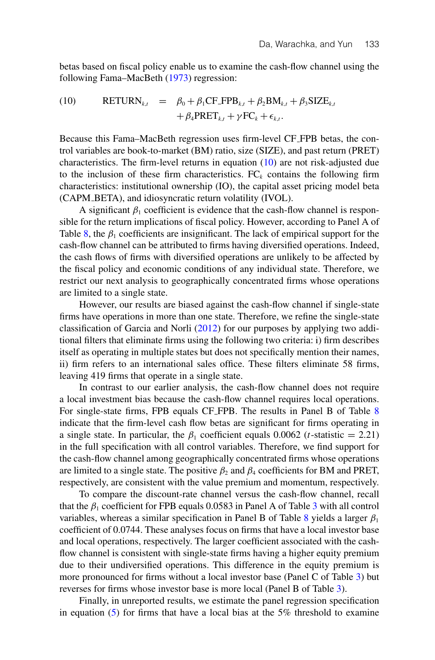<span id="page-26-0"></span>betas based on fiscal policy enable us to examine the cash-flow channel using the following Fama–MacBeth [\(1973\)](#page-28-18) regression:

(10) 
$$
RETURN_{k,t} = \beta_0 + \beta_1 CF\_FPB_{k,t} + \beta_2 BM_{k,t} + \beta_3 SIZE_{k,t} + \beta_4 PRET_{k,t} + \gamma FC_k + \epsilon_{k,t}.
$$

Because this Fama–MacBeth regression uses firm-level CF FPB betas, the control variables are book-to-market (BM) ratio, size (SIZE), and past return (PRET) characteristics. The firm-level returns in equation [\(10\)](#page-26-0) are not risk-adjusted due to the inclusion of these firm characteristics.  $FC_k$  contains the following firm characteristics: institutional ownership (IO), the capital asset pricing model beta (CAPM BETA), and idiosyncratic return volatility (IVOL).

A significant  $\beta_1$  coefficient is evidence that the cash-flow channel is responsible for the return implications of fiscal policy. However, according to Panel A of Table [8,](#page-27-0) the  $\beta_1$  coefficients are insignificant. The lack of empirical support for the cash-flow channel can be attributed to firms having diversified operations. Indeed, the cash flows of firms with diversified operations are unlikely to be affected by the fiscal policy and economic conditions of any individual state. Therefore, we restrict our next analysis to geographically concentrated firms whose operations are limited to a single state.

However, our results are biased against the cash-flow channel if single-state firms have operations in more than one state. Therefore, we refine the single-state classification of Garcia and Norli [\(2012\)](#page-28-4) for our purposes by applying two additional filters that eliminate firms using the following two criteria: i) firm describes itself as operating in multiple states but does not specifically mention their names, ii) firm refers to an international sales office. These filters eliminate 58 firms, leaving 419 firms that operate in a single state.

In contrast to our earlier analysis, the cash-flow channel does not require a local investment bias because the cash-flow channel requires local operations. For single-state firms, FPB equals CF FPB. The results in Panel B of Table [8](#page-27-0) indicate that the firm-level cash flow betas are significant for firms operating in a single state. In particular, the  $\beta_1$  coefficient equals 0.0062 (*t*-statistic = 2.21) in the full specification with all control variables. Therefore, we find support for the cash-flow channel among geographically concentrated firms whose operations are limited to a single state. The positive  $\beta_2$  and  $\beta_4$  coefficients for BM and PRET, respectively, are consistent with the value premium and momentum, respectively.

To compare the discount-rate channel versus the cash-flow channel, recall that the  $\beta_1$  coefficient for FPB equals 0.058[3](#page-16-0) in Panel A of Table 3 with all control variables, whereas a similar specification in Panel B of Table [8](#page-27-0) yields a larger  $\beta_1$ coefficient of 0.0744. These analyses focus on firms that have a local investor base and local operations, respectively. The larger coefficient associated with the cashflow channel is consistent with single-state firms having a higher equity premium due to their undiversified operations. This difference in the equity premium is more pronounced for firms without a local investor base (Panel C of Table [3\)](#page-16-0) but reverses for firms whose investor base is more local (Panel B of Table [3\)](#page-16-0).

Finally, in unreported results, we estimate the panel regression specification in equation  $(5)$  for firms that have a local bias at the 5% threshold to examine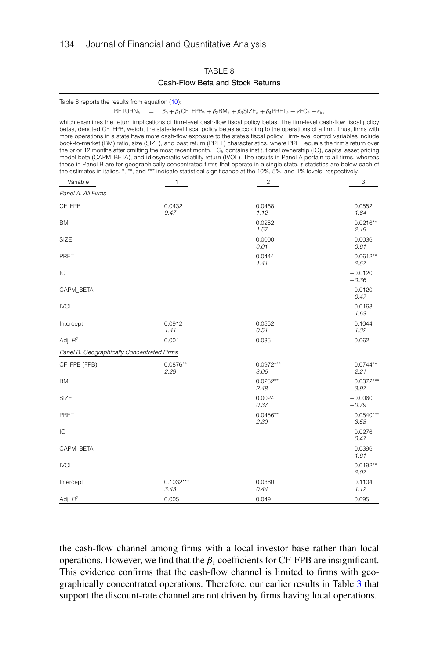#### TABLE 8 Cash-Flow Beta and Stock Returns

Table 8 reports the results from equation [\(10\)](#page-26-0):

 $RETURN_k = \beta_0 + \beta_1 CF\_FPB_k + \beta_2 BM_k + \beta_3 SIZE_k + \beta_4 PRET_k + \gamma FC_k + \epsilon_k$ 

which examines the return implications of firm-level cash-flow fiscal policy betas. The firm-level cash-flow fiscal policy betas, denoted CF\_FPB, weight the state-level fiscal policy betas according to the operations of a firm. Thus, firms with more operations in a state have more cash-flow exposure to the state's fiscal policy. Firm-level control variables include book-to-market (BM) ratio, size (SIZE), and past return (PRET) characteristics, where PRET equals the firm's return over the prior 12 months after omitting the most recent month. FC<sup>k</sup> contains institutional ownership (IO), capital asset pricing model beta (CAPM\_BETA), and idiosyncratic volatility return (IVOL). The results in Panel A pertain to all firms, whereas those in Panel B are for geographically concentrated firms that operate in a single state. t-statistics are below each of the estimates in italics. \*, \*\*, and \*\*\* indicate statistical significance at the 10%, 5%, and 1% levels, respectively.

<span id="page-27-0"></span>

| Variable                                   | 1                   | 2                   | З                      |
|--------------------------------------------|---------------------|---------------------|------------------------|
| Panel A. All Firms                         |                     |                     |                        |
| CF_FPB                                     | 0.0432<br>0.47      | 0.0468<br>1.12      | 0.0552<br>1.64         |
| <b>BM</b>                                  |                     | 0.0252<br>1.57      | $0.0216**$<br>2.19     |
| SIZE                                       |                     | 0.0000<br>0.01      | $-0.0036$<br>$-0.61$   |
| PRET                                       |                     | 0.0444<br>1.41      | $0.0612**$<br>2.57     |
| IO                                         |                     |                     | $-0.0120$<br>$-0.36$   |
| CAPM BETA                                  |                     |                     | 0.0120<br>0.47         |
| <b>IVOL</b>                                |                     |                     | $-0.0168$<br>$-1.63$   |
| Intercept                                  | 0.0912<br>1.41      | 0.0552<br>0.51      | 0.1044<br>1.32         |
| Adj. $R^2$                                 | 0.001               | 0.035               | 0.062                  |
| Panel B. Geographically Concentrated Firms |                     |                     |                        |
| CF_FPB (FPB)                               | $0.0876**$<br>2.29  | $0.0972***$<br>3.06 | $0.0744**$<br>2.21     |
| <b>BM</b>                                  |                     | $0.0252**$<br>2.48  | $0.0372***$<br>3.97    |
| SIZE                                       |                     | 0.0024<br>0.37      | $-0.0060$<br>$-0.79$   |
| PRET                                       |                     | $0.0456**$<br>2.39  | $0.0540***$<br>3.58    |
| IO                                         |                     |                     | 0.0276<br>0.47         |
| CAPM BETA                                  |                     |                     | 0.0396<br>1.61         |
| <b>IVOL</b>                                |                     |                     | $-0.0192**$<br>$-2.07$ |
| Intercept                                  | $0.1032***$<br>3.43 | 0.0360<br>0.44      | 0.1104<br>1.12         |
| Adj. R <sup>2</sup>                        | 0.005               | 0.049               | 0.095                  |

the cash-flow channel among firms with a local investor base rather than local operations. However, we find that the  $\beta_1$  coefficients for CF FPB are insignificant. This evidence confirms that the cash-flow channel is limited to firms with geographically concentrated operations. Therefore, our earlier results in Table [3](#page-16-0) that support the discount-rate channel are not driven by firms having local operations.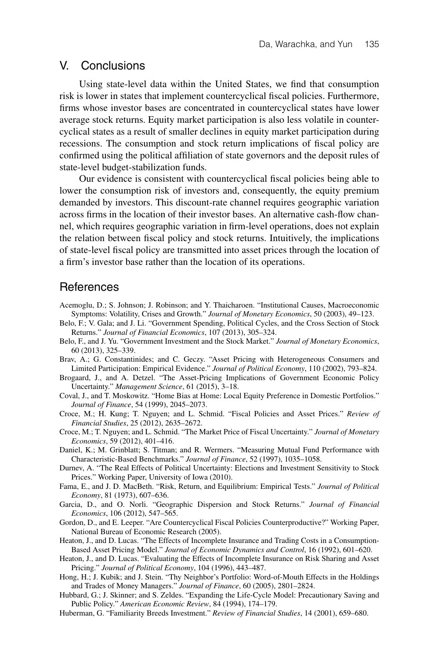#### <span id="page-28-10"></span>V. Conclusions

Using state-level data within the United States, we find that consumption risk is lower in states that implement countercyclical fiscal policies. Furthermore, firms whose investor bases are concentrated in countercyclical states have lower average stock returns. Equity market participation is also less volatile in countercyclical states as a result of smaller declines in equity market participation during recessions. The consumption and stock return implications of fiscal policy are confirmed using the political affiliation of state governors and the deposit rules of state-level budget-stabilization funds.

Our evidence is consistent with countercyclical fiscal policies being able to lower the consumption risk of investors and, consequently, the equity premium demanded by investors. This discount-rate channel requires geographic variation across firms in the location of their investor bases. An alternative cash-flow channel, which requires geographic variation in firm-level operations, does not explain the relation between fiscal policy and stock returns. Intuitively, the implications of state-level fiscal policy are transmitted into asset prices through the location of a firm's investor base rather than the location of its operations.

### **References**

- <span id="page-28-11"></span>Acemoglu, D.; S. Johnson; J. Robinson; and Y. Thaicharoen. "Institutional Causes, Macroeconomic Symptoms: Volatility, Crises and Growth." *Journal of Monetary Economics*, 50 (2003), 49–123.
- <span id="page-28-14"></span>Belo, F.; V. Gala; and J. Li. "Government Spending, Political Cycles, and the Cross Section of Stock Returns." *Journal of Financial Economics*, 107 (2013), 305–324.
- <span id="page-28-15"></span>Belo, F., and J. Yu. "Government Investment and the Stock Market." *Journal of Monetary Economics*, 60 (2013), 325–339.
- <span id="page-28-3"></span>Brav, A.; G. Constantinides; and C. Geczy. "Asset Pricing with Heterogeneous Consumers and Limited Participation: Empirical Evidence." *Journal of Political Economy*, 110 (2002), 793–824.
- <span id="page-28-13"></span>Brogaard, J., and A. Detzel. "The Asset-Pricing Implications of Government Economic Policy Uncertainty." *Management Science*, 61 (2015), 3–18.
- <span id="page-28-0"></span>Coval, J., and T. Moskowitz. "Home Bias at Home: Local Equity Preference in Domestic Portfolios." *Journal of Finance*, 54 (1999), 2045–2073.
- <span id="page-28-9"></span>Croce, M.; H. Kung; T. Nguyen; and L. Schmid. "Fiscal Policies and Asset Prices." *Review of Financial Studies*, 25 (2012), 2635–2672.
- <span id="page-28-7"></span>Croce, M.; T. Nguyen; and L. Schmid. "The Market Price of Fiscal Uncertainty." *Journal of Monetary Economics*, 59 (2012), 401–416.
- <span id="page-28-17"></span>Daniel, K.; M. Grinblatt; S. Titman; and R. Wermers. "Measuring Mutual Fund Performance with Characteristic-Based Benchmarks." *Journal of Finance*, 52 (1997), 1035–1058.
- <span id="page-28-12"></span>Durnev, A. "The Real Effects of Political Uncertainty: Elections and Investment Sensitivity to Stock Prices." Working Paper, University of Iowa (2010).
- <span id="page-28-18"></span>Fama, E., and J. D. MacBeth. "Risk, Return, and Equilibrium: Empirical Tests." *Journal of Political Economy*, 81 (1973), 607–636.
- <span id="page-28-4"></span>Garcia, D., and O. Norli. "Geographic Dispersion and Stock Returns." *Journal of Financial Economics*, 106 (2012), 547–565.
- <span id="page-28-8"></span>Gordon, D., and E. Leeper. "Are Countercyclical Fiscal Policies Counterproductive?" Working Paper, National Bureau of Economic Research (2005).
- <span id="page-28-1"></span>Heaton, J., and D. Lucas. "The Effects of Incomplete Insurance and Trading Costs in a Consumption-Based Asset Pricing Model." *Journal of Economic Dynamics and Control*, 16 (1992), 601–620.
- <span id="page-28-2"></span>Heaton, J., and D. Lucas. "Evaluating the Effects of Incomplete Insurance on Risk Sharing and Asset Pricing." *Journal of Political Economy*, 104 (1996), 443–487.
- <span id="page-28-6"></span>Hong, H.; J. Kubik; and J. Stein. "Thy Neighbor's Portfolio: Word-of-Mouth Effects in the Holdings and Trades of Money Managers." *Journal of Finance*, 60 (2005), 2801–2824.
- <span id="page-28-16"></span>Hubbard, G.; J. Skinner; and S. Zeldes. "Expanding the Life-Cycle Model: Precautionary Saving and Public Policy." *American Economic Review*, 84 (1994), 174–179.
- <span id="page-28-5"></span>Huberman, G. "Familiarity Breeds Investment." *Review of Financial Studies*, 14 (2001), 659–680.